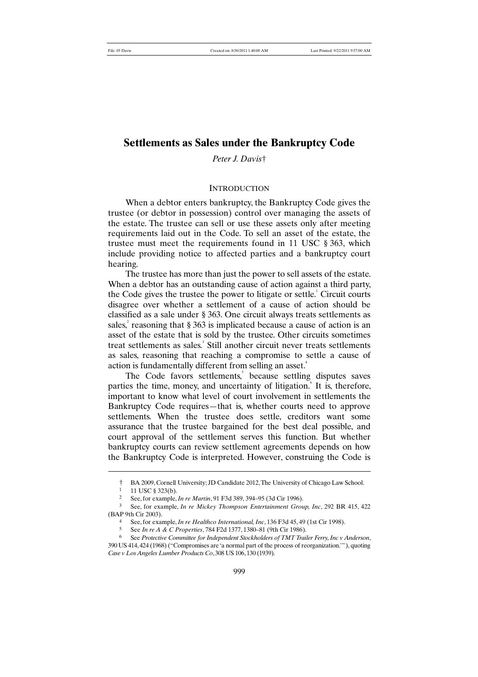# **Settlements as Sales under the Bankruptcy Code**

*Peter J. Davis*†

# **INTRODUCTION**

When a debtor enters bankruptcy, the Bankruptcy Code gives the trustee (or debtor in possession) control over managing the assets of the estate. The trustee can sell or use these assets only after meeting requirements laid out in the Code. To sell an asset of the estate, the trustee must meet the requirements found in 11 USC § 363, which include providing notice to affected parties and a bankruptcy court hearing.

The trustee has more than just the power to sell assets of the estate. When a debtor has an outstanding cause of action against a third party, the Code gives the trustee the power to litigate or settle.<sup>1</sup> Circuit courts disagree over whether a settlement of a cause of action should be classified as a sale under § 363. One circuit always treats settlements as sales, reasoning that  $\S 363$  is implicated because a cause of action is an asset of the estate that is sold by the trustee. Other circuits sometimes treat settlements as sales.<sup>3</sup> Still another circuit never treats settlements as sales, reasoning that reaching a compromise to settle a cause of action is fundamentally different from selling an asset.<sup>4</sup>

The Code favors settlements,<sup>5</sup> because settling disputes saves parties the time, money, and uncertainty of litigation. It is, therefore, important to know what level of court involvement in settlements the Bankruptcy Code requires—that is, whether courts need to approve settlements. When the trustee does settle, creditors want some assurance that the trustee bargained for the best deal possible, and court approval of the settlement serves this function. But whether bankruptcy courts can review settlement agreements depends on how the Bankruptcy Code is interpreted. However, construing the Code is

<sup>†</sup> BA 2009, Cornell University; JD Candidate 2012, The University of Chicago Law School.

<sup>11</sup> USC § 323(b).

<sup>2</sup> See, for example, *In re Martin*, 91 F3d 389, 394–95 (3d Cir 1996).

<sup>3</sup> See, for example, *In re Mickey Thompson Entertainment Group, Inc*, 292 BR 415, 422 (BAP 9th Cir 2003).

<sup>4</sup> See, for example, *In re Healthco International, Inc*, 136 F3d 45, 49 (1st Cir 1998).

<sup>5</sup> See *In re A & C Properties*, 784 F2d 1377, 1380–81 (9th Cir 1986).

<sup>6</sup> See *Protective Committee for Independent Stockholders of TMT Trailer Ferry, Inc v Anderson*, 390 US 414, 424 (1968) ("Compromises are 'a normal part of the process of reorganization.'"), quoting *Case v Los Angeles Lumber Products Co*, 308 US 106, 130 (1939).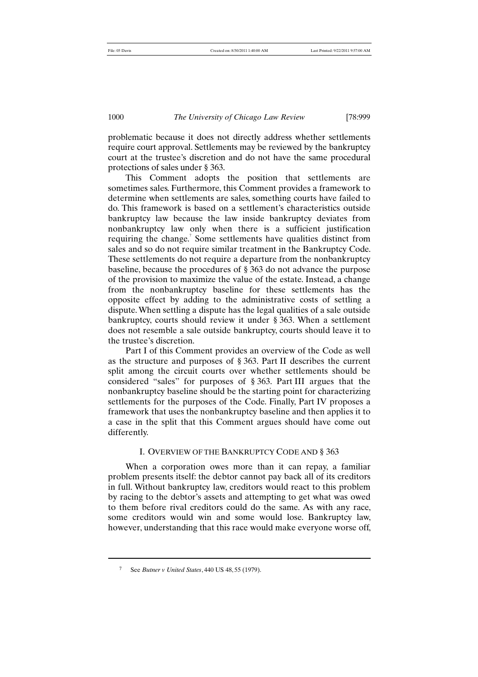problematic because it does not directly address whether settlements require court approval. Settlements may be reviewed by the bankruptcy court at the trustee's discretion and do not have the same procedural protections of sales under § 363.

This Comment adopts the position that settlements are sometimes sales. Furthermore, this Comment provides a framework to determine when settlements are sales, something courts have failed to do. This framework is based on a settlement's characteristics outside bankruptcy law because the law inside bankruptcy deviates from nonbankruptcy law only when there is a sufficient justification requiring the change.<sup>7</sup> Some settlements have qualities distinct from sales and so do not require similar treatment in the Bankruptcy Code. These settlements do not require a departure from the nonbankruptcy baseline, because the procedures of § 363 do not advance the purpose of the provision to maximize the value of the estate. Instead, a change from the nonbankruptcy baseline for these settlements has the opposite effect by adding to the administrative costs of settling a dispute. When settling a dispute has the legal qualities of a sale outside bankruptcy, courts should review it under § 363. When a settlement does not resemble a sale outside bankruptcy, courts should leave it to the trustee's discretion.

Part I of this Comment provides an overview of the Code as well as the structure and purposes of § 363. Part II describes the current split among the circuit courts over whether settlements should be considered "sales" for purposes of § 363. Part III argues that the nonbankruptcy baseline should be the starting point for characterizing settlements for the purposes of the Code. Finally, Part IV proposes a framework that uses the nonbankruptcy baseline and then applies it to a case in the split that this Comment argues should have come out differently.

#### I. OVERVIEW OF THE BANKRUPTCY CODE AND § 363

When a corporation owes more than it can repay, a familiar problem presents itself: the debtor cannot pay back all of its creditors in full. Without bankruptcy law, creditors would react to this problem by racing to the debtor's assets and attempting to get what was owed to them before rival creditors could do the same. As with any race, some creditors would win and some would lose. Bankruptcy law, however, understanding that this race would make everyone worse off,

<sup>7</sup> See *Butner v United States*, 440 US 48, 55 (1979).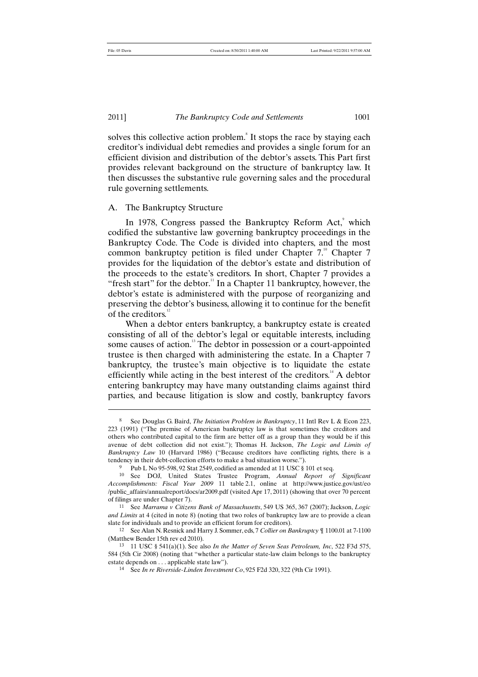#### 2011] *The Bankruptcy Code and Settlements* 1001

solves this collective action problem.<sup>8</sup> It stops the race by staying each creditor's individual debt remedies and provides a single forum for an efficient division and distribution of the debtor's assets. This Part first provides relevant background on the structure of bankruptcy law. It then discusses the substantive rule governing sales and the procedural rule governing settlements.

# A. The Bankruptcy Structure

In 1978, Congress passed the Bankruptcy Reform Act,<sup>9</sup> which codified the substantive law governing bankruptcy proceedings in the Bankruptcy Code. The Code is divided into chapters, and the most common bankruptcy petition is filed under Chapter 7.<sup>10</sup> Chapter 7 provides for the liquidation of the debtor's estate and distribution of the proceeds to the estate's creditors. In short, Chapter 7 provides a "fresh start" for the debtor. $\overline{1}$  In a Chapter 11 bankruptcy, however, the debtor's estate is administered with the purpose of reorganizing and preserving the debtor's business, allowing it to continue for the benefit of the creditors.<sup>12</sup>

When a debtor enters bankruptcy, a bankruptcy estate is created consisting of all of the debtor's legal or equitable interests, including some causes of action.<sup>13</sup> The debtor in possession or a court-appointed trustee is then charged with administering the estate. In a Chapter 7 bankruptcy, the trustee's main objective is to liquidate the estate efficiently while acting in the best interest of the creditors.<sup> $14$ </sup> A debtor entering bankruptcy may have many outstanding claims against third parties, and because litigation is slow and costly, bankruptcy favors

<sup>8</sup> See Douglas G. Baird, *The Initiation Problem in Bankruptcy*, 11 Intl Rev L & Econ 223, 223 (1991) ("The premise of American bankruptcy law is that sometimes the creditors and others who contributed capital to the firm are better off as a group than they would be if this avenue of debt collection did not exist."); Thomas H. Jackson, *The Logic and Limits of Bankruptcy Law* 10 (Harvard 1986) ("Because creditors have conflicting rights, there is a tendency in their debt-collection efforts to make a bad situation worse.").

<sup>&</sup>lt;sup>9</sup> Pub L No 95-598, 92 Stat 2549, codified as amended at 11 USC § 101 et seq.

<sup>10</sup> See DOJ, United States Trustee Program, *Annual Report of Significant Accomplishments: Fiscal Year 2009* 11 table 2.1, online at http://www.justice.gov/ust/eo /public\_affairs/annualreport/docs/ar2009.pdf (visited Apr 17, 2011) (showing that over 70 percent of filings are under Chapter 7).

<sup>11</sup> See *Marrama v Citizens Bank of Massachusetts*, 549 US 365, 367 (2007); Jackson, *Logic and Limits* at 4 (cited in note 8) (noting that two roles of bankruptcy law are to provide a clean slate for individuals and to provide an efficient forum for creditors).

<sup>12</sup> See Alan N. Resnick and Harry J. Sommer, eds, 7 *Collier on Bankruptcy* ¶ 1100.01 at 7-1100 (Matthew Bender 15th rev ed 2010).

<sup>13</sup> 11 USC § 541(a)(1). See also *In the Matter of Seven Seas Petroleum, Inc*, 522 F3d 575, 584 (5th Cir 2008) (noting that "whether a particular state-law claim belongs to the bankruptcy estate depends on . . . applicable state law").

<sup>14</sup> See *In re Riverside-Linden Investment Co*, 925 F2d 320, 322 (9th Cir 1991).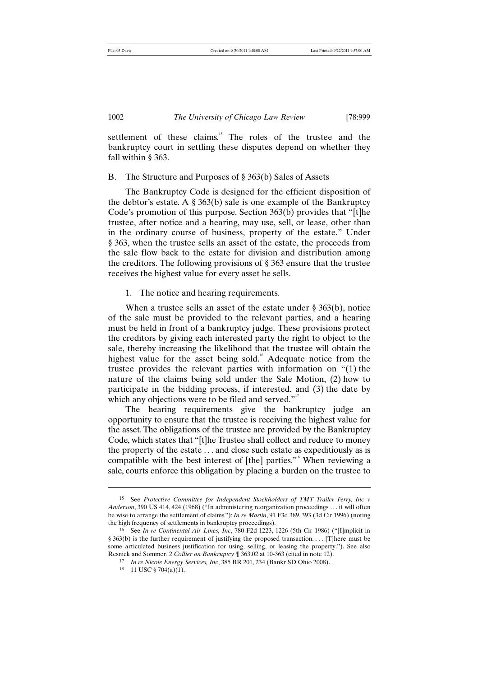settlement of these claims.<sup>15</sup> The roles of the trustee and the bankruptcy court in settling these disputes depend on whether they fall within § 363.

### B. The Structure and Purposes of § 363(b) Sales of Assets

The Bankruptcy Code is designed for the efficient disposition of the debtor's estate. A  $\S 363(b)$  sale is one example of the Bankruptcy Code's promotion of this purpose. Section 363(b) provides that "[t]he trustee, after notice and a hearing, may use, sell, or lease, other than in the ordinary course of business, property of the estate." Under § 363, when the trustee sells an asset of the estate, the proceeds from the sale flow back to the estate for division and distribution among the creditors. The following provisions of § 363 ensure that the trustee receives the highest value for every asset he sells.

1. The notice and hearing requirements.

When a trustee sells an asset of the estate under § 363(b), notice of the sale must be provided to the relevant parties, and a hearing must be held in front of a bankruptcy judge. These provisions protect the creditors by giving each interested party the right to object to the sale, thereby increasing the likelihood that the trustee will obtain the highest value for the asset being sold.<sup>16</sup> Adequate notice from the trustee provides the relevant parties with information on "(1) the nature of the claims being sold under the Sale Motion, (2) how to participate in the bidding process, if interested, and (3) the date by which any objections were to be filed and served."<sup>17</sup>

The hearing requirements give the bankruptcy judge an opportunity to ensure that the trustee is receiving the highest value for the asset. The obligations of the trustee are provided by the Bankruptcy Code, which states that "[t]he Trustee shall collect and reduce to money the property of the estate . . . and close such estate as expeditiously as is compatible with the best interest of [the] parties."<sup>8</sup> When reviewing a sale, courts enforce this obligation by placing a burden on the trustee to

<sup>15</sup> See *Protective Committee for Independent Stockholders of TMT Trailer Ferry, Inc v Anderson*, 390 US 414, 424 (1968) ("In administering reorganization proceedings . . . it will often be wise to arrange the settlement of claims."); *In re Martin*, 91 F3d 389, 393 (3d Cir 1996) (noting the high frequency of settlements in bankruptcy proceedings).

<sup>16</sup> See *In re Continental Air Lines, Inc*, 780 F2d 1223, 1226 (5th Cir 1986) ("[I]mplicit in § 363(b) is the further requirement of justifying the proposed transaction.... [T]here must be some articulated business justification for using, selling, or leasing the property."). See also Resnick and Sommer, 2 *Collier on Bankruptcy* ¶ 363.02 at 10-363 (cited in note 12).

<sup>17</sup> *In re Nicole Energy Services, Inc*, 385 BR 201, 234 (Bankr SD Ohio 2008).

<sup>18</sup> 11 USC § 704(a)(1).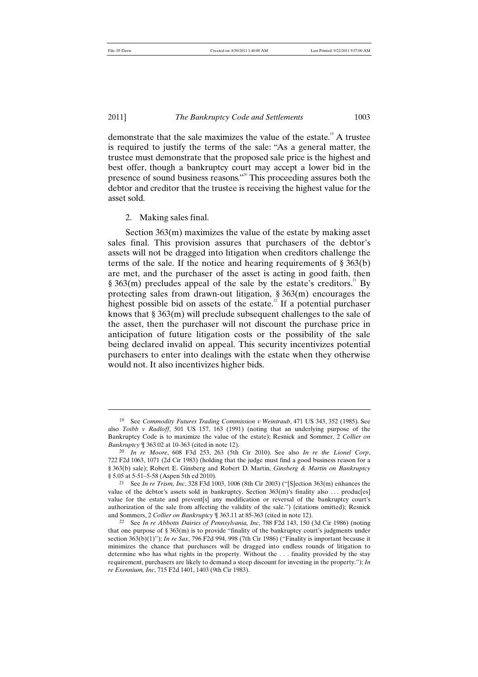#### 2011] *The Bankruptcy Code and Settlements* 1003

demonstrate that the sale maximizes the value of the estate.<sup>19</sup> A trustee is required to justify the terms of the sale: "As a general matter, the trustee must demonstrate that the proposed sale price is the highest and best offer, though a bankruptcy court may accept a lower bid in the presence of sound business reasons."<sup>20</sup> This proceeding assures both the debtor and creditor that the trustee is receiving the highest value for the asset sold.

2. Making sales final.

Section 363(m) maximizes the value of the estate by making asset sales final. This provision assures that purchasers of the debtor's assets will not be dragged into litigation when creditors challenge the terms of the sale. If the notice and hearing requirements of § 363(b) are met, and the purchaser of the asset is acting in good faith, then § 363(m) precludes appeal of the sale by the estate's creditors.<sup>21</sup> By protecting sales from drawn-out litigation, § 363(m) encourages the highest possible bid on assets of the estate.<sup>22</sup> If a potential purchaser knows that § 363(m) will preclude subsequent challenges to the sale of the asset, then the purchaser will not discount the purchase price in anticipation of future litigation costs or the possibility of the sale being declared invalid on appeal. This security incentivizes potential purchasers to enter into dealings with the estate when they otherwise would not. It also incentivizes higher bids.

<sup>19</sup> See *Commodity Futures Trading Commission v Weintraub*, 471 US 343, 352 (1985). See also *Toibb v Radloff*, 501 US 157, 163 (1991) (noting that an underlying purpose of the Bankruptcy Code is to maximize the value of the estate); Resnick and Sommer, 2 *Collier on Bankruptcy* ¶ 363.02 at 10-363 (cited in note 12).

<sup>20</sup> *In re Moore*, 608 F3d 253, 263 (5th Cir 2010). See also *In re the Lionel Corp*, 722 F2d 1063, 1071 (2d Cir 1983) (holding that the judge must find a good business reason for a § 363(b) sale); Robert E. Ginsberg and Robert D. Martin, *Ginsberg & Martin on Bankruptcy* § 5.05 at 5-51–5-58 (Aspen 5th ed 2010).

<sup>21</sup> See *In re Trism, Inc*, 328 F3d 1003, 1006 (8th Cir 2003) ("[S]ection 363(m) enhances the value of the debtor's assets sold in bankruptcy. Section 363(m)'s finality also ... produc[es] value for the estate and prevent[s] any modification or reversal of the bankruptcy court's authorization of the sale from affecting the validity of the sale.") (citations omitted); Resnick and Sommers, 2 *Collier on Bankruptcy* ¶ 363.11 at 85-363 (cited in note 12).

<sup>22</sup> See *In re Abbotts Dairies of Pennsylvania, Inc*, 788 F2d 143, 150 (3d Cir 1986) (noting that one purpose of  $\S 363(m)$  is to provide "finality of the bankruptcy court's judgments under section 363(b)(1)"); *In re Sax*, 796 F2d 994, 998 (7th Cir 1986) ("Finality is important because it minimizes the chance that purchasers will be dragged into endless rounds of litigation to determine who has what rights in the property. Without the . . . finality provided by the stay requirement, purchasers are likely to demand a steep discount for investing in the property."); *In re Exennium, Inc*, 715 F2d 1401, 1403 (9th Cir 1983).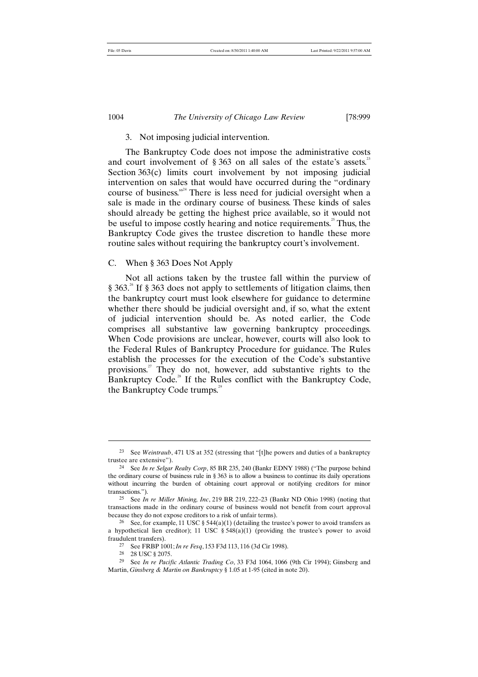# 3. Not imposing judicial intervention.

The Bankruptcy Code does not impose the administrative costs and court involvement of  $\S 363$  on all sales of the estate's assets.<sup>23</sup> Section 363(c) limits court involvement by not imposing judicial intervention on sales that would have occurred during the "ordinary course of business."<sup> $4$ </sup> There is less need for judicial oversight when a sale is made in the ordinary course of business. These kinds of sales should already be getting the highest price available, so it would not be useful to impose costly hearing and notice requirements.<sup>25</sup> Thus, the Bankruptcy Code gives the trustee discretion to handle these more routine sales without requiring the bankruptcy court's involvement.

# C. When § 363 Does Not Apply

Not all actions taken by the trustee fall within the purview of  $\S 363<sup>26</sup>$  If  $\S 363$  does not apply to settlements of litigation claims, then the bankruptcy court must look elsewhere for guidance to determine whether there should be judicial oversight and, if so, what the extent of judicial intervention should be. As noted earlier, the Code comprises all substantive law governing bankruptcy proceedings. When Code provisions are unclear, however, courts will also look to the Federal Rules of Bankruptcy Procedure for guidance. The Rules establish the processes for the execution of the Code's substantive provisions.<sup>27</sup> They do not, however, add substantive rights to the Bankruptcy Code.<sup>28</sup> If the Rules conflict with the Bankruptcy Code, the Bankruptcy Code trumps.<sup>29</sup>

<sup>23</sup> See *Weintraub*, 471 US at 352 (stressing that "[t]he powers and duties of a bankruptcy trustee are extensive").

<sup>24</sup> See *In re Selgar Realty Corp*, 85 BR 235, 240 (Bankr EDNY 1988) ("The purpose behind the ordinary course of business rule in § 363 is to allow a business to continue its daily operations without incurring the burden of obtaining court approval or notifying creditors for minor transactions.").

<sup>25</sup> See *In re Miller Mining, Inc*, 219 BR 219, 222–23 (Bankr ND Ohio 1998) (noting that transactions made in the ordinary course of business would not benefit from court approval because they do not expose creditors to a risk of unfair terms).

<sup>&</sup>lt;sup>26</sup> See, for example, 11 USC  $\S$  544(a)(1) (detailing the trustee's power to avoid transfers as a hypothetical lien creditor); 11 USC  $\S 548(a)(1)$  (providing the trustee's power to avoid fraudulent transfers).

<sup>27</sup> See FRBP 1001; *In re Fesq*, 153 F3d 113, 116 (3d Cir 1998).

<sup>28</sup> 28 USC § 2075.

<sup>29</sup> See *In re Pacific Atlantic Trading Co*, 33 F3d 1064, 1066 (9th Cir 1994); Ginsberg and Martin, *Ginsberg & Martin on Bankruptcy* § 1.05 at 1-95 (cited in note 20).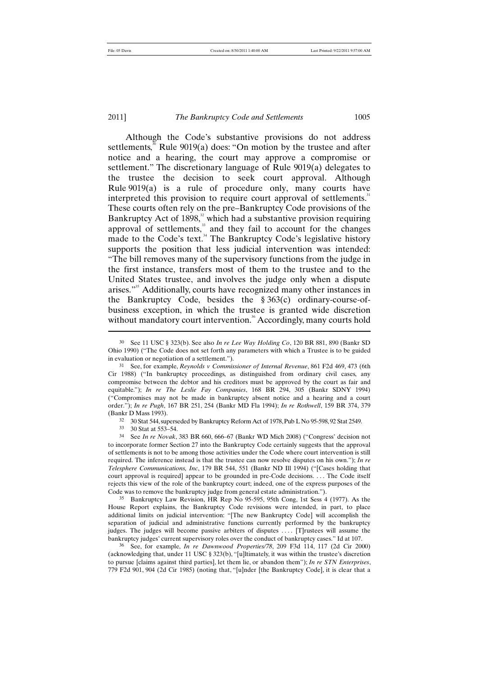j

#### 2011] *The Bankruptcy Code and Settlements* 1005

Although the Code's substantive provisions do not address settlements,<sup>30</sup> Rule 9019(a) does: "On motion by the trustee and after notice and a hearing, the court may approve a compromise or settlement." The discretionary language of Rule 9019(a) delegates to the trustee the decision to seek court approval. Although Rule  $9019(a)$  is a rule of procedure only, many courts have interpreted this provision to require court approval of settlements.<sup>3</sup> These courts often rely on the pre–Bankruptcy Code provisions of the Bankruptcy Act of 1898,<sup>32</sup> which had a substantive provision requiring approval of settlements, $33$  and they fail to account for the changes made to the Code's text.<sup>34</sup> The Bankruptcy Code's legislative history supports the position that less judicial intervention was intended: "The bill removes many of the supervisory functions from the judge in the first instance, transfers most of them to the trustee and to the United States trustee, and involves the judge only when a dispute arises."<sup>35</sup> Additionally, courts have recognized many other instances in the Bankruptcy Code, besides the § 363(c) ordinary-course-ofbusiness exception, in which the trustee is granted wide discretion without mandatory court intervention.<sup>36</sup> Accordingly, many courts hold

<sup>33</sup> 30 Stat at 553–54.

<sup>34</sup> See *In re Novak*, 383 BR 660, 666–67 (Bankr WD Mich 2008) ("Congress' decision not to incorporate former Section 27 into the Bankruptcy Code certainly suggests that the approval of settlements is not to be among those activities under the Code where court intervention is still required. The inference instead is that the trustee can now resolve disputes on his own."); *In re Telesphere Communications, Inc*, 179 BR 544, 551 (Bankr ND Ill 1994) ("[Cases holding that court approval is required] appear to be grounded in pre-Code decisions. . . . The Code itself rejects this view of the role of the bankruptcy court; indeed, one of the express purposes of the Code was to remove the bankruptcy judge from general estate administration.")

<sup>35</sup> Bankruptcy Law Revision, HR Rep No 95-595, 95th Cong, 1st Sess 4 (1977). As the House Report explains, the Bankruptcy Code revisions were intended, in part, to place additional limits on judicial intervention: "[The new Bankruptcy Code] will accomplish the separation of judicial and administrative functions currently performed by the bankruptcy judges. The judges will become passive arbiters of disputes .... [T]rustees will assume the bankruptcy judges' current supervisory roles over the conduct of bankruptcy cases." Id at 107.

36 See, for example, *In re Dawnwood Properties/78*, 209 F3d 114, 117 (2d Cir 2000) (acknowledging that, under 11 USC § 323(b), "[u]ltimately, it was within the trustee's discretion to pursue [claims against third parties], let them lie, or abandon them"); *In re STN Enterprises*, 779 F2d 901, 904 (2d Cir 1985) (noting that, "[u]nder [the Bankruptcy Code], it is clear that a

<sup>30</sup> See 11 USC § 323(b). See also *In re Lee Way Holding Co*, 120 BR 881, 890 (Bankr SD Ohio 1990) ("The Code does not set forth any parameters with which a Trustee is to be guided in evaluation or negotiation of a settlement.").

<sup>31</sup> See, for example, *Reynolds v Commissioner of Internal Revenue*, 861 F2d 469, 473 (6th Cir 1988) ("In bankruptcy proceedings, as distinguished from ordinary civil cases, any compromise between the debtor and his creditors must be approved by the court as fair and equitable."); *In re The Leslie Fay Companies*, 168 BR 294, 305 (Bankr SDNY 1994) ("Compromises may not be made in bankruptcy absent notice and a hearing and a court order."); *In re Pugh*, 167 BR 251, 254 (Bankr MD Fla 1994); *In re Rothwell*, 159 BR 374, 379 (Bankr D Mass 1993).

 $32$  30 Stat 544, superseded by Bankruptcy Reform Act of 1978, Pub L No 95-598, 92 Stat 2549.<br> $33$  30 Stat at 553–54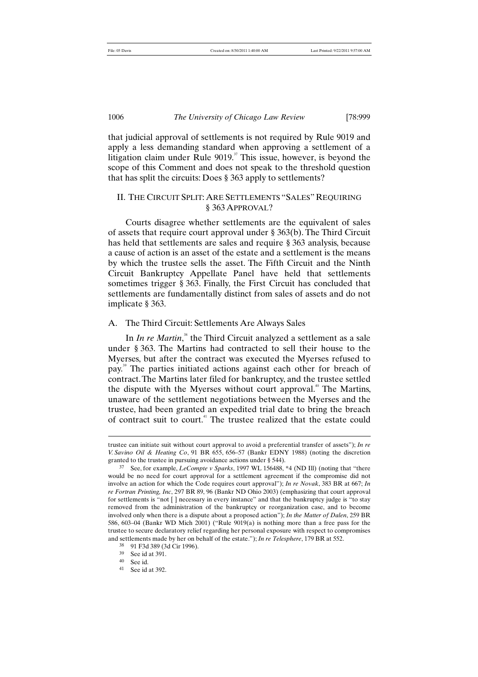that judicial approval of settlements is not required by Rule 9019 and apply a less demanding standard when approving a settlement of a litigation claim under Rule 9019.<sup>37</sup> This issue, however, is beyond the scope of this Comment and does not speak to the threshold question that has split the circuits: Does § 363 apply to settlements?

# II. THE CIRCUIT SPLIT: ARE SETTLEMENTS "SALES"REQUIRING § 363 APPROVAL?

Courts disagree whether settlements are the equivalent of sales of assets that require court approval under § 363(b). The Third Circuit has held that settlements are sales and require § 363 analysis, because a cause of action is an asset of the estate and a settlement is the means by which the trustee sells the asset. The Fifth Circuit and the Ninth Circuit Bankruptcy Appellate Panel have held that settlements sometimes trigger § 363. Finally, the First Circuit has concluded that settlements are fundamentally distinct from sales of assets and do not implicate § 363.

# A. The Third Circuit: Settlements Are Always Sales

In *In re Martin*,<sup>38</sup> the Third Circuit analyzed a settlement as a sale under § 363. The Martins had contracted to sell their house to the Myerses, but after the contract was executed the Myerses refused to pay. <sup>39</sup> The parties initiated actions against each other for breach of contract.The Martins later filed for bankruptcy, and the trustee settled the dispute with the Myerses without court approval. <sup>40</sup> The Martins, unaware of the settlement negotiations between the Myerses and the trustee, had been granted an expedited trial date to bring the breach of contract suit to court.<sup>41</sup> The trustee realized that the estate could

trustee can initiate suit without court approval to avoid a preferential transfer of assets"); *In re V. Savino Oil & Heating Co*, 91 BR 655, 656–57 (Bankr EDNY 1988) (noting the discretion granted to the trustee in pursuing avoidance actions under § 544).

<sup>37</sup> See, for example, *LeCompte v Sparks*, 1997 WL 156488, \*4 (ND Ill) (noting that "there would be no need for court approval for a settlement agreement if the compromise did not involve an action for which the Code requires court approval"); *In re Novak*, 383 BR at 667; *In re Fortran Printing, Inc*, 297 BR 89, 96 (Bankr ND Ohio 2003) (emphasizing that court approval for settlements is "not [ ] necessary in every instance" and that the bankruptcy judge is "to stay removed from the administration of the bankruptcy or reorganization case, and to become involved only when there is a dispute about a proposed action"); *In the Matter of Dalen*, 259 BR 586, 603–04 (Bankr WD Mich 2001) ("Rule 9019(a) is nothing more than a free pass for the trustee to secure declaratory relief regarding her personal exposure with respect to compromises and settlements made by her on behalf of the estate."); *In re Telesphere*, 179 BR at 552.

<sup>38</sup> 91 F3d 389 (3d Cir 1996).

<sup>39</sup> See id at 391.

<sup>40</sup> See id.

<sup>41</sup> See id at 392.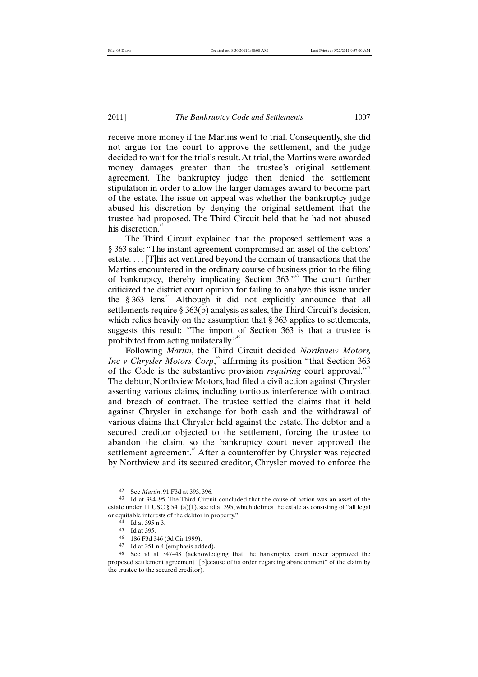receive more money if the Martins went to trial. Consequently, she did not argue for the court to approve the settlement, and the judge decided to wait for the trial's result.At trial, the Martins were awarded money damages greater than the trustee's original settlement agreement. The bankruptcy judge then denied the settlement stipulation in order to allow the larger damages award to become part of the estate. The issue on appeal was whether the bankruptcy judge abused his discretion by denying the original settlement that the trustee had proposed. The Third Circuit held that he had not abused his discretion.<sup>42</sup>

The Third Circuit explained that the proposed settlement was a § 363 sale: "The instant agreement compromised an asset of the debtors' estate. . . . [T]his act ventured beyond the domain of transactions that the Martins encountered in the ordinary course of business prior to the filing of bankruptcy, thereby implicating Section 363."<sup>43</sup> The court further criticized the district court opinion for failing to analyze this issue under the  $§ 363$  lens.<sup>44</sup> Although it did not explicitly announce that all settlements require § 363(b) analysis as sales, the Third Circuit's decision, which relies heavily on the assumption that § 363 applies to settlements, suggests this result: "The import of Section 363 is that a trustee is prohibited from acting unilaterally."<sup>45</sup>

Following *Martin*, the Third Circuit decided *Northview Motors, Inc v Chrysler Motors Corp*,<sup>46</sup> affirming its position "that Section 363 of the Code is the substantive provision *requiring* court approval."<sup>47</sup> The debtor, Northview Motors, had filed a civil action against Chrysler asserting various claims, including tortious interference with contract and breach of contract. The trustee settled the claims that it held against Chrysler in exchange for both cash and the withdrawal of various claims that Chrysler held against the estate. The debtor and a secured creditor objected to the settlement, forcing the trustee to abandon the claim, so the bankruptcy court never approved the settlement agreement.<sup>48</sup> After a counteroffer by Chrysler was rejected by Northview and its secured creditor, Chrysler moved to enforce the

<sup>42</sup> See *Martin*, 91 F3d at 393, 396.

<sup>43</sup> Id at 394–95. The Third Circuit concluded that the cause of action was an asset of the estate under 11 USC § 541(a)(1), see id at 395, which defines the estate as consisting of "all legal or equitable interests of the debtor in property."

<sup>44</sup> Id at 395 n 3.

<sup>45</sup> Id at 395.<br>46  $196$  E3d 3

 $^{46}$  186 F3d 346 (3d Cir 1999).

Id at 351 n 4 (emphasis added).

<sup>48</sup> See id at 347–48 (acknowledging that the bankruptcy court never approved the proposed settlement agreement "[b]ecause of its order regarding abandonment" of the claim by the trustee to the secured creditor).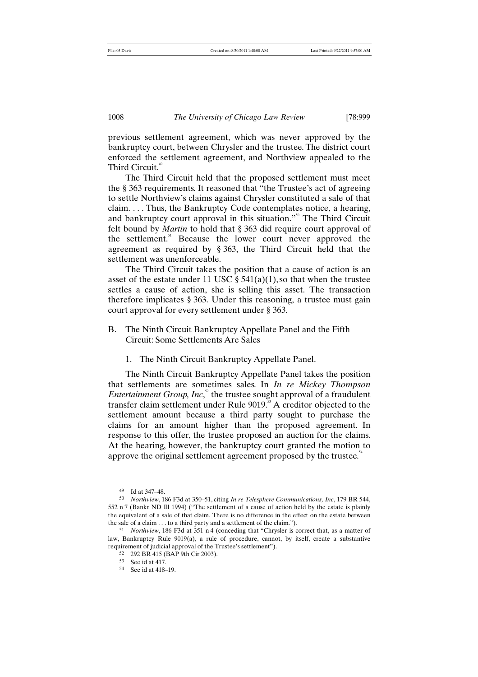previous settlement agreement, which was never approved by the bankruptcy court, between Chrysler and the trustee. The district court enforced the settlement agreement, and Northview appealed to the Third Circuit.<sup>4</sup>

The Third Circuit held that the proposed settlement must meet the § 363 requirements. It reasoned that "the Trustee's act of agreeing to settle Northview's claims against Chrysler constituted a sale of that claim. . . . Thus, the Bankruptcy Code contemplates notice, a hearing, and bankruptcy court approval in this situation."<sup>50</sup> The Third Circuit felt bound by *Martin* to hold that § 363 did require court approval of the settlement.<sup>51</sup> Because the lower court never approved the agreement as required by § 363, the Third Circuit held that the settlement was unenforceable.

The Third Circuit takes the position that a cause of action is an asset of the estate under 11 USC  $\S$  541(a)(1), so that when the trustee settles a cause of action, she is selling this asset. The transaction therefore implicates § 363. Under this reasoning, a trustee must gain court approval for every settlement under § 363.

- B. The Ninth Circuit Bankruptcy Appellate Panel and the Fifth Circuit: Some Settlements Are Sales
	- 1. The Ninth Circuit Bankruptcy Appellate Panel.

The Ninth Circuit Bankruptcy Appellate Panel takes the position that settlements are sometimes sales. In *In re Mickey Thompson Entertainment Group, Inc*,<sup>2</sup> the trustee sought approval of a fraudulent transfer claim settlement under Rule 9019.<sup>33</sup> A creditor objected to the settlement amount because a third party sought to purchase the claims for an amount higher than the proposed agreement. In response to this offer, the trustee proposed an auction for the claims. At the hearing, however, the bankruptcy court granted the motion to approve the original settlement agreement proposed by the trustee.<sup>34</sup>

<sup>49</sup> Id at 347–48.

<sup>50</sup> *Northview*, 186 F3d at 350–51, citing *In re Telesphere Communications, Inc*, 179 BR 544, 552 n 7 (Bankr ND Ill 1994) ("The settlement of a cause of action held by the estate is plainly the equivalent of a sale of that claim. There is no difference in the effect on the estate between the sale of a claim . . . to a third party and a settlement of the claim.").

<sup>51</sup> *Northview*, 186 F3d at 351 n 4 (conceding that "Chrysler is correct that, as a matter of law, Bankruptcy Rule 9019(a), a rule of procedure, cannot, by itself, create a substantive requirement of judicial approval of the Trustee's settlement").

<sup>52</sup> 292 BR 415 (BAP 9th Cir 2003).

<sup>53</sup> See id at 417.

<sup>54</sup> See id at 418–19.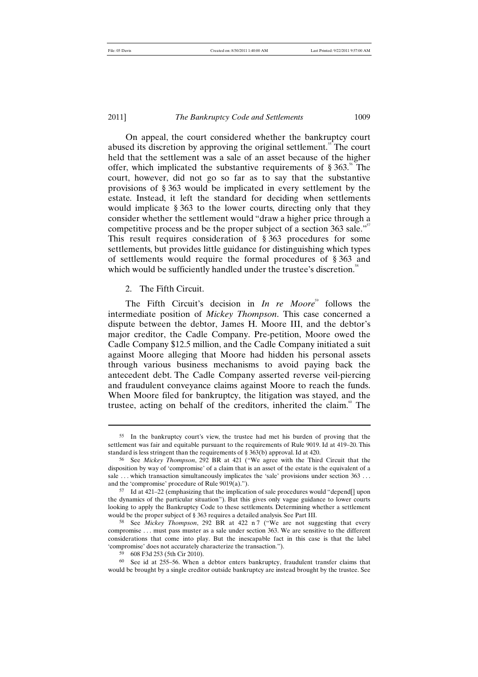# 2011] *The Bankruptcy Code and Settlements* 1009

On appeal, the court considered whether the bankruptcy court abused its discretion by approving the original settlement.<sup>55</sup> The court held that the settlement was a sale of an asset because of the higher offer, which implicated the substantive requirements of  $\S 363$ <sup>56</sup>. The court, however, did not go so far as to say that the substantive provisions of § 363 would be implicated in every settlement by the estate. Instead, it left the standard for deciding when settlements would implicate § 363 to the lower courts, directing only that they consider whether the settlement would "draw a higher price through a competitive process and be the proper subject of a section 363 sale."<sup>57</sup> This result requires consideration of § 363 procedures for some settlements, but provides little guidance for distinguishing which types of settlements would require the formal procedures of § 363 and which would be sufficiently handled under the trustee's discretion.<sup>58</sup>

#### 2. The Fifth Circuit.

The Fifth Circuit's decision in *In re Moore*<sup>59</sup> follows the intermediate position of *Mickey Thompson*. This case concerned a dispute between the debtor, James H. Moore III, and the debtor's major creditor, the Cadle Company. Pre-petition, Moore owed the Cadle Company \$12.5 million, and the Cadle Company initiated a suit against Moore alleging that Moore had hidden his personal assets through various business mechanisms to avoid paying back the antecedent debt. The Cadle Company asserted reverse veil-piercing and fraudulent conveyance claims against Moore to reach the funds. When Moore filed for bankruptcy, the litigation was stayed, and the trustee, acting on behalf of the creditors, inherited the claim.<sup><sup>®</sup> The</sup>

<sup>55</sup> In the bankruptcy court's view, the trustee had met his burden of proving that the settlement was fair and equitable pursuant to the requirements of Rule 9019. Id at 419–20. This standard is less stringent than the requirements of § 363(b) approval. Id at 420.

<sup>56</sup> See *Mickey Thompson*, 292 BR at 421 ("We agree with the Third Circuit that the disposition by way of 'compromise' of a claim that is an asset of the estate is the equivalent of a sale ... which transaction simultaneously implicates the 'sale' provisions under section 363 ... and the 'compromise' procedure of Rule 9019(a).").

<sup>57</sup> Id at 421–22 (emphasizing that the implication of sale procedures would "depend[] upon the dynamics of the particular situation"). But this gives only vague guidance to lower courts looking to apply the Bankruptcy Code to these settlements. Determining whether a settlement would be the proper subject of § 363 requires a detailed analysis. See Part III.

<sup>58</sup> See *Mickey Thompson*, 292 BR at 422 n 7 ("We are not suggesting that every compromise . . . must pass muster as a sale under section 363. We are sensitive to the different considerations that come into play. But the inescapable fact in this case is that the label 'compromise' does not accurately characterize the transaction.").

<sup>59</sup> 608 F3d 253 (5th Cir 2010).

<sup>60</sup> See id at 255–56. When a debtor enters bankruptcy, fraudulent transfer claims that would be brought by a single creditor outside bankruptcy are instead brought by the trustee. See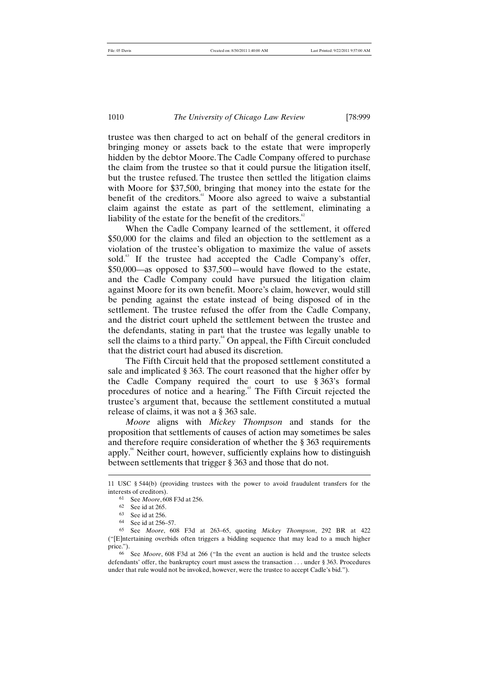trustee was then charged to act on behalf of the general creditors in bringing money or assets back to the estate that were improperly hidden by the debtor Moore.The Cadle Company offered to purchase the claim from the trustee so that it could pursue the litigation itself, but the trustee refused. The trustee then settled the litigation claims with Moore for \$37,500, bringing that money into the estate for the benefit of the creditors.<sup>61</sup> Moore also agreed to waive a substantial claim against the estate as part of the settlement, eliminating a liability of the estate for the benefit of the creditors. $62$ 

When the Cadle Company learned of the settlement, it offered \$50,000 for the claims and filed an objection to the settlement as a violation of the trustee's obligation to maximize the value of assets sold.<sup>63</sup> If the trustee had accepted the Cadle Company's offer, \$50,000—as opposed to \$37,500—would have flowed to the estate, and the Cadle Company could have pursued the litigation claim against Moore for its own benefit. Moore's claim, however, would still be pending against the estate instead of being disposed of in the settlement. The trustee refused the offer from the Cadle Company, and the district court upheld the settlement between the trustee and the defendants, stating in part that the trustee was legally unable to sell the claims to a third party.<sup>64</sup> On appeal, the Fifth Circuit concluded that the district court had abused its discretion.

The Fifth Circuit held that the proposed settlement constituted a sale and implicated § 363. The court reasoned that the higher offer by the Cadle Company required the court to use § 363's formal procedures of notice and a hearing.<sup>65</sup> The Fifth Circuit rejected the trustee's argument that, because the settlement constituted a mutual release of claims, it was not a § 363 sale.

*Moore* aligns with *Mickey Thompson* and stands for the proposition that settlements of causes of action may sometimes be sales and therefore require consideration of whether the § 363 requirements apply.<sup>66</sup> Neither court, however, sufficiently explains how to distinguish between settlements that trigger § 363 and those that do not.

<sup>11</sup> USC § 544(b) (providing trustees with the power to avoid fraudulent transfers for the interests of creditors).

<sup>61</sup> See *Moore*, 608 F3d at 256.

<sup>62</sup> See id at 265.

<sup>63</sup> See id at 256.

<sup>64</sup> See id at 256–57.

<sup>65</sup> See *Moore*, 608 F3d at 263–65, quoting *Mickey Thompson*, 292 BR at 422 ("[E]ntertaining overbids often triggers a bidding sequence that may lead to a much higher price.").

<sup>66</sup> See *Moore*, 608 F3d at 266 ("In the event an auction is held and the trustee selects defendants' offer, the bankruptcy court must assess the transaction . . . under § 363. Procedures under that rule would not be invoked, however, were the trustee to accept Cadle's bid.").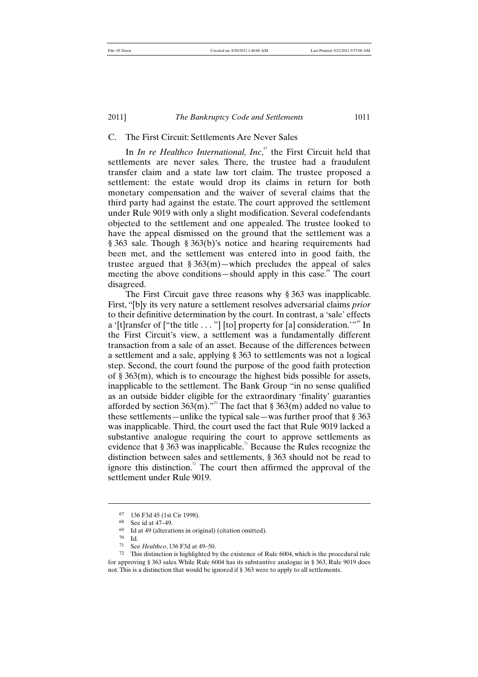# C. The First Circuit: Settlements Are Never Sales

In *In re Healthco International, Inc*,<sup>67</sup> the First Circuit held that settlements are never sales. There, the trustee had a fraudulent transfer claim and a state law tort claim. The trustee proposed a settlement: the estate would drop its claims in return for both monetary compensation and the waiver of several claims that the third party had against the estate. The court approved the settlement under Rule 9019 with only a slight modification. Several codefendants objected to the settlement and one appealed. The trustee looked to have the appeal dismissed on the ground that the settlement was a § 363 sale. Though § 363(b)'s notice and hearing requirements had been met, and the settlement was entered into in good faith, the trustee argued that  $\S 363(m)$ —which precludes the appeal of sales meeting the above conditions—should apply in this case.<sup>68</sup> The court disagreed.

The First Circuit gave three reasons why § 363 was inapplicable. First, "[b]y its very nature a settlement resolves adversarial claims *prior* to their definitive determination by the court. In contrast, a 'sale' effects a '[t]ransfer of ["the title . . . "] [to] property for [a] consideration.'"<sup>69</sup> In the First Circuit's view, a settlement was a fundamentally different transaction from a sale of an asset. Because of the differences between a settlement and a sale, applying § 363 to settlements was not a logical step. Second, the court found the purpose of the good faith protection of § 363(m), which is to encourage the highest bids possible for assets, inapplicable to the settlement. The Bank Group "in no sense qualified as an outside bidder eligible for the extraordinary 'finality' guaranties afforded by section 363(m)."<sup>0</sup> The fact that § 363(m) added no value to these settlements—unlike the typical sale—was further proof that § 363 was inapplicable. Third, the court used the fact that Rule 9019 lacked a substantive analogue requiring the court to approve settlements as evidence that  $\S 363$  was inapplicable.<sup>71</sup> Because the Rules recognize the distinction between sales and settlements, § 363 should not be read to ignore this distinction.<sup>72</sup> The court then affirmed the approval of the settlement under Rule 9019.

<sup>67</sup> 136 F3d 45 (1st Cir 1998).

<sup>68</sup> See id at 47–49.

 $^{69}$  Id at 49 (alterations in original) (citation omitted).

 $\frac{70}{71}$  Id.

See *Healthco*, 136 F3d at 49–50.

<sup>72</sup> This distinction is highlighted by the existence of Rule 6004, which is the procedural rule for approving § 363 sales. While Rule 6004 has its substantive analogue in § 363, Rule 9019 does not. This is a distinction that would be ignored if § 363 were to apply to all settlements.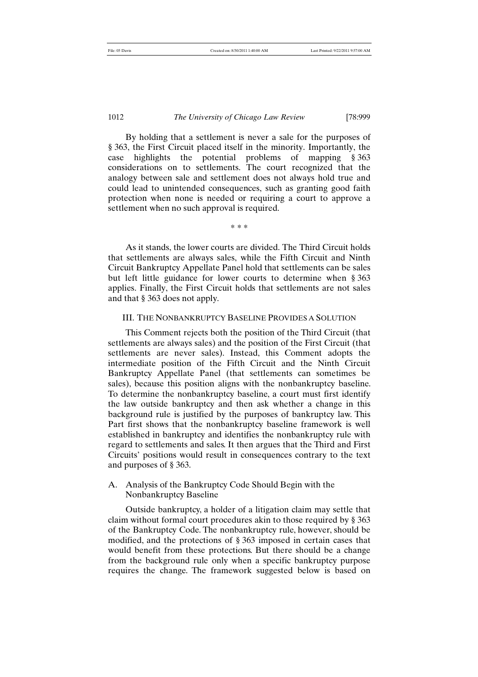By holding that a settlement is never a sale for the purposes of § 363, the First Circuit placed itself in the minority. Importantly, the case highlights the potential problems of mapping § 363 case inginging the potential processing of imapping g sets analogy between sale and settlement does not always hold true and could lead to unintended consequences, such as granting good faith protection when none is needed or requiring a court to approve a settlement when no such approval is required.

\* \* \*

As it stands, the lower courts are divided. The Third Circuit holds that settlements are always sales, while the Fifth Circuit and Ninth Circuit Bankruptcy Appellate Panel hold that settlements can be sales but left little guidance for lower courts to determine when § 363 applies. Finally, the First Circuit holds that settlements are not sales and that § 363 does not apply.

## III. THE NONBANKRUPTCY BASELINE PROVIDES A SOLUTION

This Comment rejects both the position of the Third Circuit (that settlements are always sales) and the position of the First Circuit (that settlements are never sales). Instead, this Comment adopts the intermediate position of the Fifth Circuit and the Ninth Circuit Bankruptcy Appellate Panel (that settlements can sometimes be sales), because this position aligns with the nonbankruptcy baseline. To determine the nonbankruptcy baseline, a court must first identify the law outside bankruptcy and then ask whether a change in this background rule is justified by the purposes of bankruptcy law. This Part first shows that the nonbankruptcy baseline framework is well established in bankruptcy and identifies the nonbankruptcy rule with regard to settlements and sales. It then argues that the Third and First Circuits' positions would result in consequences contrary to the text and purposes of § 363.

# A. Analysis of the Bankruptcy Code Should Begin with the Nonbankruptcy Baseline

Outside bankruptcy, a holder of a litigation claim may settle that claim without formal court procedures akin to those required by § 363 of the Bankruptcy Code. The nonbankruptcy rule, however, should be modified, and the protections of § 363 imposed in certain cases that would benefit from these protections. But there should be a change from the background rule only when a specific bankruptcy purpose requires the change. The framework suggested below is based on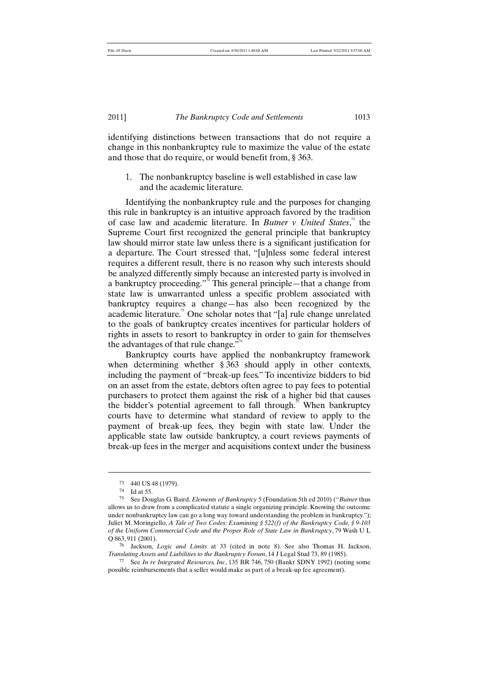identifying distinctions between transactions that do not require a change in this nonbankruptcy rule to maximize the value of the estate and those that do require, or would benefit from, § 363.

1. The nonbankruptcy baseline is well established in case law and the academic literature.

Identifying the nonbankruptcy rule and the purposes for changing this rule in bankruptcy is an intuitive approach favored by the tradition of case law and academic literature. In *Butner v United States*, <sup>73</sup> the Supreme Court first recognized the general principle that bankruptcy law should mirror state law unless there is a significant justification for a departure. The Court stressed that, "[u]nless some federal interest requires a different result, there is no reason why such interests should be analyzed differently simply because an interested party is involved in a bankruptcy proceeding."<sup>4</sup> This general principle—that a change from state law is unwarranted unless a specific problem associated with bankruptcy requires a change—has also been recognized by the academic literature.<sup>75</sup> One scholar notes that "[a] rule change unrelated to the goals of bankruptcy creates incentives for particular holders of rights in assets to resort to bankruptcy in order to gain for themselves the advantages of that rule change."<sup> $\theta$ </sup>

Bankruptcy courts have applied the nonbankruptcy framework when determining whether § 363 should apply in other contexts, including the payment of "break-up fees." To incentivize bidders to bid on an asset from the estate, debtors often agree to pay fees to potential purchasers to protect them against the risk of a higher bid that causes the bidder's potential agreement to fall through.<sup>77</sup> When bankruptcy courts have to determine what standard of review to apply to the payment of break-up fees, they begin with state law. Under the applicable state law outside bankruptcy, a court reviews payments of break-up fees in the merger and acquisitions context under the business

<sup>73</sup> 440 US 48 (1979).

<sup>74</sup> Id at 55.

<sup>75</sup> See Douglas G. Baird, *Elements of Bankruptcy* 5 (Foundation 5th ed 2010) ("*Butner* thus allows us to draw from a complicated statute a single organizing principle. Knowing the outcome under nonbankruptcy law can go a long way toward understanding the problem in bankruptcy."); Juliet M. Moringiello, *A Tale of Two Codes: Examining § 522(f) of the Bankruptcy Code, § 9-103 of the Uniform Commercial Code and the Proper Role of State Law in Bankruptcy*, 79 Wash U L Q 863, 911 (2001).

<sup>76</sup> Jackson, *Logic and Limits* at 33 (cited in note 8). See also Thomas H. Jackson, *Translating Assets and Liabilities to the Bankruptcy Forum*, 14 J Legal Stud 73, 89 (1985).

<sup>77</sup> See *In re Integrated Resources, Inc*, 135 BR 746, 750 (Bankr SDNY 1992) (noting some possible reimbursements that a seller would make as part of a break-up fee agreement).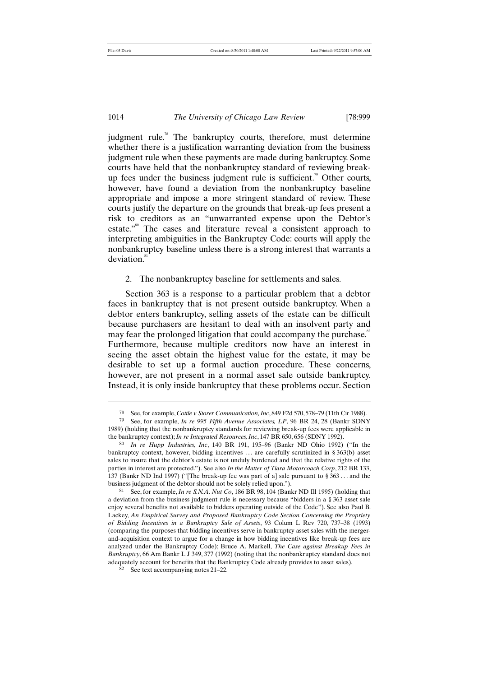1014 *The University of Chicago Law Review* [78:999

judgment rule.<sup>78</sup> The bankruptcy courts, therefore, must determine whether there is a justification warranting deviation from the business judgment rule when these payments are made during bankruptcy. Some courts have held that the nonbankruptcy standard of reviewing breakup fees under the business judgment rule is sufficient.<sup>79</sup> Other courts, however, have found a deviation from the nonbankruptcy baseline appropriate and impose a more stringent standard of review. These courts justify the departure on the grounds that break-up fees present a risk to creditors as an "unwarranted expense upon the Debtor's estate."<sup>80</sup> The cases and literature reveal a consistent approach to interpreting ambiguities in the Bankruptcy Code: courts will apply the nonbankruptcy baseline unless there is a strong interest that warrants a deviation.<sup>81</sup>

2. The nonbankruptcy baseline for settlements and sales.

Section 363 is a response to a particular problem that a debtor faces in bankruptcy that is not present outside bankruptcy. When a debtor enters bankruptcy, selling assets of the estate can be difficult because purchasers are hesitant to deal with an insolvent party and may fear the prolonged litigation that could accompany the purchase. $82^{\circ}$ Furthermore, because multiple creditors now have an interest in seeing the asset obtain the highest value for the estate, it may be desirable to set up a formal auction procedure. These concerns, however, are not present in a normal asset sale outside bankruptcy. Instead, it is only inside bankruptcy that these problems occur. Section

<sup>78</sup> See, for example, *Cottle v Storer Communication, Inc*, 849 F2d 570, 578–79 (11th Cir 1988).

<sup>79</sup> See, for example, *In re 995 Fifth Avenue Associates, LP*, 96 BR 24, 28 (Bankr SDNY 1989) (holding that the nonbankruptcy standards for reviewing break-up fees were applicable in the bankruptcy context); *In re Integrated Resources, Inc*, 147 BR 650, 656 (SDNY 1992).

<sup>80</sup> *In re Hupp Industries, Inc*, 140 BR 191, 195–96 (Bankr ND Ohio 1992) ("In the bankruptcy context, however, bidding incentives . . . are carefully scrutinized in § 363(b) asset sales to insure that the debtor's estate is not unduly burdened and that the relative rights of the parties in interest are protected."). See also *In the Matter of Tiara Motorcoach Corp*, 212 BR 133, 137 (Bankr ND Ind 1997) ("[The break-up fee was part of a] sale pursuant to § 363 . . . and the business judgment of the debtor should not be solely relied upon.").

<sup>81</sup> See, for example, *In re S.N.A. Nut Co*, 186 BR 98, 104 (Bankr ND Ill 1995) (holding that a deviation from the business judgment rule is necessary because "bidders in a § 363 asset sale enjoy several benefits not available to bidders operating outside of the Code"). See also Paul B. Lackey, *An Empirical Survey and Proposed Bankruptcy Code Section Concerning the Propriety of Bidding Incentives in a Bankruptcy Sale of Assets*, 93 Colum L Rev 720, 737–38 (1993) (comparing the purposes that bidding incentives serve in bankruptcy asset sales with the mergerand-acquisition context to argue for a change in how bidding incentives like break-up fees are analyzed under the Bankruptcy Code); Bruce A. Markell, *The Case against Breakup Fees in Bankruptcy*, 66 Am Bankr L J 349, 377 (1992) (noting that the nonbankruptcy standard does not adequately account for benefits that the Bankruptcy Code already provides to asset sales).

<sup>82</sup> See text accompanying notes 21–22.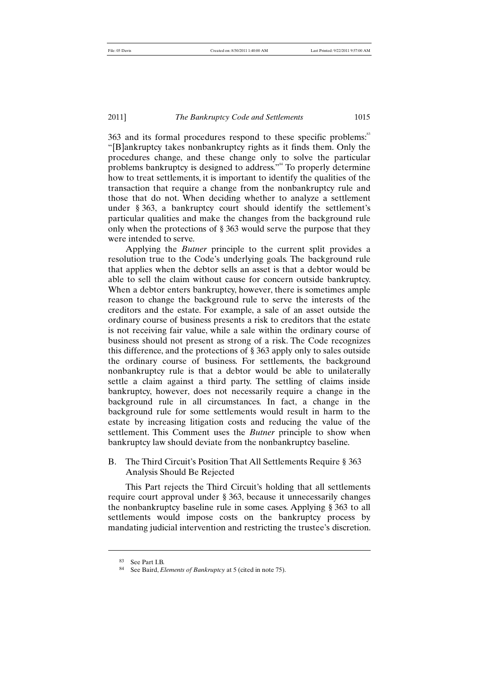363 and its formal procedures respond to these specific problems:<sup>83</sup> "[B]ankruptcy takes nonbankruptcy rights as it finds them. Only the procedures change, and these change only to solve the particular problems bankruptcy is designed to address."<sup>84</sup> To properly determine how to treat settlements, it is important to identify the qualities of the transaction that require a change from the nonbankruptcy rule and those that do not. When deciding whether to analyze a settlement under § 363, a bankruptcy court should identify the settlement's particular qualities and make the changes from the background rule only when the protections of § 363 would serve the purpose that they were intended to serve.

Applying the *Butner* principle to the current split provides a resolution true to the Code's underlying goals. The background rule that applies when the debtor sells an asset is that a debtor would be able to sell the claim without cause for concern outside bankruptcy. When a debtor enters bankruptcy, however, there is sometimes ample reason to change the background rule to serve the interests of the creditors and the estate. For example, a sale of an asset outside the ordinary course of business presents a risk to creditors that the estate is not receiving fair value, while a sale within the ordinary course of business should not present as strong of a risk. The Code recognizes this difference, and the protections of § 363 apply only to sales outside the ordinary course of business. For settlements, the background nonbankruptcy rule is that a debtor would be able to unilaterally settle a claim against a third party. The settling of claims inside bankruptcy, however, does not necessarily require a change in the background rule in all circumstances. In fact, a change in the background rule for some settlements would result in harm to the estate by increasing litigation costs and reducing the value of the settlement. This Comment uses the *Butner* principle to show when bankruptcy law should deviate from the nonbankruptcy baseline.

# B. The Third Circuit's Position That All Settlements Require § 363 Analysis Should Be Rejected

This Part rejects the Third Circuit's holding that all settlements require court approval under § 363, because it unnecessarily changes the nonbankruptcy baseline rule in some cases. Applying § 363 to all settlements would impose costs on the bankruptcy process by mandating judicial intervention and restricting the trustee's discretion.

<sup>83</sup> See Part I.B.

<sup>84</sup> See Baird, *Elements of Bankruptcy* at 5 (cited in note 75).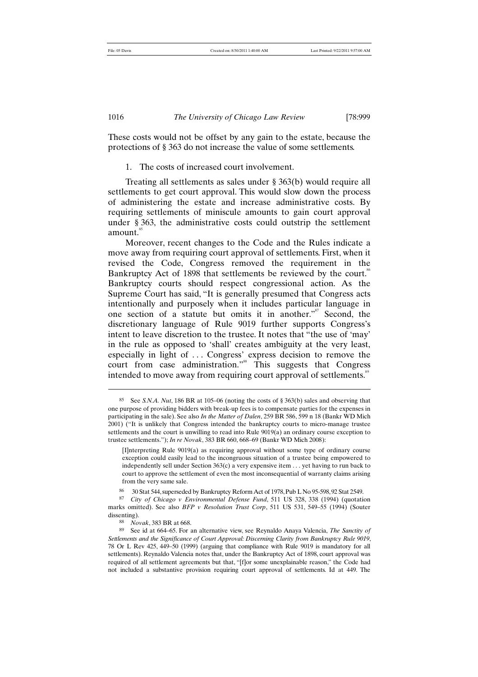These costs would not be offset by any gain to the estate, because the protections of § 363 do not increase the value of some settlements.

1. The costs of increased court involvement.

Treating all settlements as sales under § 363(b) would require all settlements to get court approval. This would slow down the process of administering the estate and increase administrative costs. By requiring settlements of miniscule amounts to gain court approval under § 363, the administrative costs could outstrip the settlement amount.<sup>85</sup>

Moreover, recent changes to the Code and the Rules indicate a move away from requiring court approval of settlements. First, when it revised the Code, Congress removed the requirement in the Bankruptcy Act of 1898 that settlements be reviewed by the court.<sup>86</sup> Bankruptcy courts should respect congressional action. As the Supreme Court has said, "It is generally presumed that Congress acts intentionally and purposely when it includes particular language in one section of a statute but omits it in another."<sup>87</sup> Second, the discretionary language of Rule 9019 further supports Congress's intent to leave discretion to the trustee. It notes that "the use of 'may' in the rule as opposed to 'shall' creates ambiguity at the very least, especially in light of ... Congress' express decision to remove the court from case administration."<sup>88</sup> This suggests that Congress intended to move away from requiring court approval of settlements.<sup>89</sup>

<sup>85</sup> See *S.N.A. Nut*, 186 BR at 105–06 (noting the costs of § 363(b) sales and observing that one purpose of providing bidders with break-up fees is to compensate parties for the expenses in participating in the sale). See also *In the Matter of Dalen*, 259 BR 586, 599 n 18 (Bankr WD Mich 2001) ("It is unlikely that Congress intended the bankruptcy courts to micro-manage trustee settlements and the court is unwilling to read into Rule 9019(a) an ordinary course exception to trustee settlements."); *In re Novak*, 383 BR 660, 668–69 (Bankr WD Mich 2008):

<sup>[</sup>I]nterpreting Rule 9019(a) as requiring approval without some type of ordinary course exception could easily lead to the incongruous situation of a trustee being empowered to independently sell under Section 363(c) a very expensive item . . . yet having to run back to court to approve the settlement of even the most inconsequential of warranty claims arising from the very same sale.

<sup>86</sup> 30 Stat 544, superseded by Bankruptcy Reform Act of 1978, Pub L No 95-598, 92 Stat 2549.

<sup>87</sup> *City of Chicago v Environmental Defense Fund*, 511 US 328, 338 (1994) (quotation marks omitted). See also *BFP v Resolution Trust Corp*, 511 US 531, 549–55 (1994) (Souter dissenting).

<sup>88</sup> *Novak*, 383 BR at 668.

<sup>89</sup> See id at 664–65. For an alternative view, see Reynaldo Anaya Valencia, *The Sanctity of Settlements and the Significance of Court Approval: Discerning Clarity from Bankruptcy Rule 9019*, 78 Or L Rev 425, 449–50 (1999) (arguing that compliance with Rule 9019 is mandatory for all settlements). Reynaldo Valencia notes that, under the Bankruptcy Act of 1898, court approval was required of all settlement agreements but that, "[f]or some unexplainable reason," the Code had not included a substantive provision requiring court approval of settlements. Id at 449. The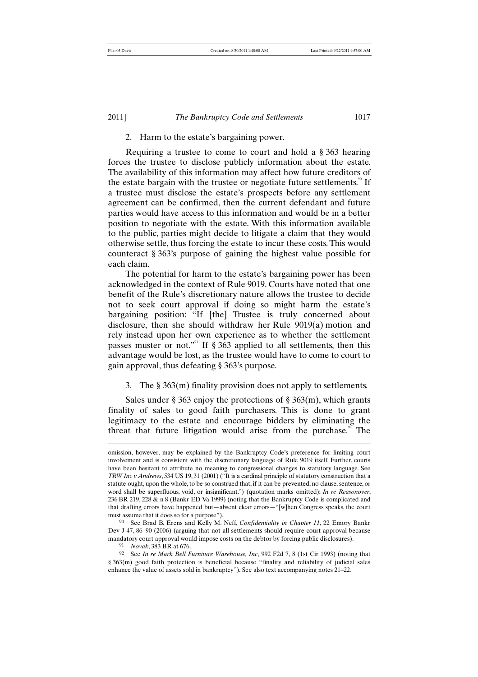# 2. Harm to the estate's bargaining power.

Requiring a trustee to come to court and hold a § 363 hearing forces the trustee to disclose publicly information about the estate. The availability of this information may affect how future creditors of the estate bargain with the trustee or negotiate future settlements.<sup>90</sup> If a trustee must disclose the estate's prospects before any settlement agreement can be confirmed, then the current defendant and future parties would have access to this information and would be in a better position to negotiate with the estate. With this information available to the public, parties might decide to litigate a claim that they would otherwise settle, thus forcing the estate to incur these costs. This would counteract § 363's purpose of gaining the highest value possible for each claim.

The potential for harm to the estate's bargaining power has been acknowledged in the context of Rule 9019. Courts have noted that one benefit of the Rule's discretionary nature allows the trustee to decide not to seek court approval if doing so might harm the estate's bargaining position: "If [the] Trustee is truly concerned about disclosure, then she should withdraw her Rule 9019(a) motion and rely instead upon her own experience as to whether the settlement passes muster or not."<sup>91</sup> If  $\S 363$  applied to all settlements, then this advantage would be lost, as the trustee would have to come to court to gain approval, thus defeating § 363's purpose.

# 3. The § 363(m) finality provision does not apply to settlements.

Sales under § 363 enjoy the protections of § 363 $(m)$ , which grants finality of sales to good faith purchasers. This is done to grant legitimacy to the estate and encourage bidders by eliminating the threat that future litigation would arise from the purchase.<sup>92</sup> The

omission, however, may be explained by the Bankruptcy Code's preference for limiting court involvement and is consistent with the discretionary language of Rule 9019 itself. Further, courts have been hesitant to attribute no meaning to congressional changes to statutory language. See *TRW Inc v Andrews*, 534 US 19, 31 (2001) ("It is a cardinal principle of statutory construction that a statute ought, upon the whole, to be so construed that, if it can be prevented, no clause, sentence, or word shall be superfluous, void, or insignificant.") (quotation marks omitted); *In re Reasonover*, 236 BR 219, 228 & n 8 (Bankr ED Va 1999) (noting that the Bankruptcy Code is complicated and that drafting errors have happened but—absent clear errors—"[w]hen Congress speaks, the court must assume that it does so for a purpose").

<sup>90</sup> See Brad B. Erens and Kelly M. Neff, *Confidentiality in Chapter 11*, 22 Emory Bankr Dev J 47, 86–90 (2006) (arguing that not all settlements should require court approval because mandatory court approval would impose costs on the debtor by forcing public disclosures).

<sup>91</sup> *Novak*, 383 BR at 676.

<sup>92</sup> See *In re Mark Bell Furniture Warehouse, Inc*, 992 F2d 7, 8 (1st Cir 1993) (noting that § 363(m) good faith protection is beneficial because "finality and reliability of judicial sales enhance the value of assets sold in bankruptcy"). See also text accompanying notes 21–22.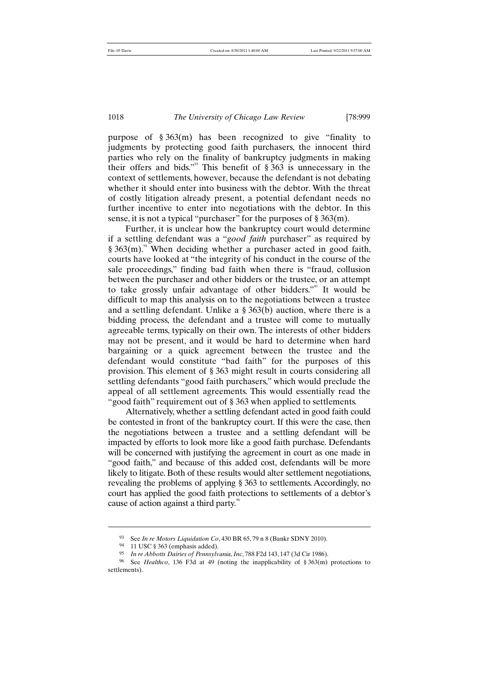purpose of § 363(m) has been recognized to give "finality to judgments by protecting good faith purchasers, the innocent third parties who rely on the finality of bankruptcy judgments in making their offers and bids."<sup>33</sup> This benefit of  $\S 363$  is unnecessary in the context of settlements, however, because the defendant is not debating whether it should enter into business with the debtor. With the threat of costly litigation already present, a potential defendant needs no further incentive to enter into negotiations with the debtor. In this sense, it is not a typical "purchaser" for the purposes of § 363(m).

Further, it is unclear how the bankruptcy court would determine if a settling defendant was a "*good faith* purchaser" as required by  $§ 363(m).$ <sup>4</sup> When deciding whether a purchaser acted in good faith, courts have looked at "the integrity of his conduct in the course of the sale proceedings," finding bad faith when there is "fraud, collusion between the purchaser and other bidders or the trustee, or an attempt to take grossly unfair advantage of other bidders.<sup>"55</sup> It would be difficult to map this analysis on to the negotiations between a trustee and a settling defendant. Unlike a § 363(b) auction, where there is a bidding process, the defendant and a trustee will come to mutually agreeable terms, typically on their own. The interests of other bidders may not be present, and it would be hard to determine when hard bargaining or a quick agreement between the trustee and the defendant would constitute "bad faith" for the purposes of this provision. This element of § 363 might result in courts considering all settling defendants "good faith purchasers," which would preclude the appeal of all settlement agreements. This would essentially read the "good faith" requirement out of § 363 when applied to settlements.

Alternatively, whether a settling defendant acted in good faith could be contested in front of the bankruptcy court. If this were the case, then the negotiations between a trustee and a settling defendant will be impacted by efforts to look more like a good faith purchase. Defendants will be concerned with justifying the agreement in court as one made in "good faith," and because of this added cost, defendants will be more likely to litigate. Both of these results would alter settlement negotiations, revealing the problems of applying § 363 to settlements. Accordingly, no court has applied the good faith protections to settlements of a debtor's cause of action against a third party.<sup>96</sup>

<sup>93</sup> See *In re Motors Liquidation Co*, 430 BR 65, 79 n 8 (Bankr SDNY 2010).

<sup>94</sup> 11 USC § 363 (emphasis added).

<sup>95</sup> *In re Abbotts Dairies of Pennsylvania, Inc*, 788 F2d 143, 147 (3d Cir 1986).

<sup>96</sup> See *Healthco*, 136 F3d at 49 (noting the inapplicability of § 363(m) protections to settlements).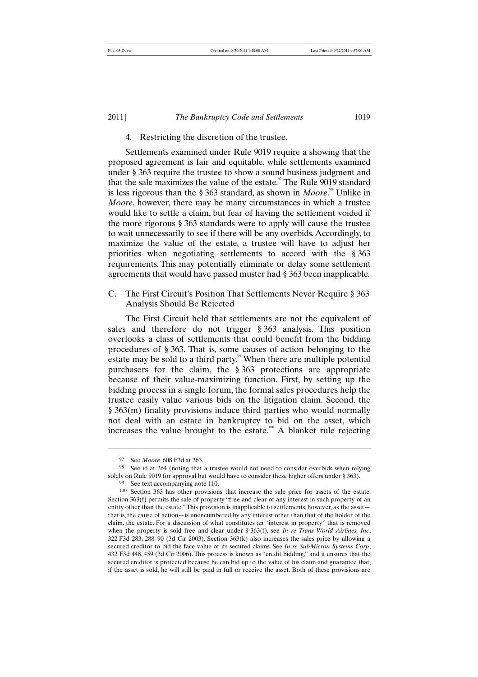# 4. Restricting the discretion of the trustee.

Settlements examined under Rule 9019 require a showing that the proposed agreement is fair and equitable, while settlements examined under § 363 require the trustee to show a sound business judgment and that the sale maximizes the value of the estate.<sup>97</sup> The Rule 9019 standard is less rigorous than the § 363 standard, as shown in *Moore*.<sup>88</sup> Unlike in *Moore*, however, there may be many circumstances in which a trustee would like to settle a claim, but fear of having the settlement voided if the more rigorous § 363 standards were to apply will cause the trustee to wait unnecessarily to see if there will be any overbids. Accordingly, to maximize the value of the estate, a trustee will have to adjust her priorities when negotiating settlements to accord with the § 363 requirements. This may potentially eliminate or delay some settlement agreements that would have passed muster had § 363 been inapplicable.

C. The First Circuit's Position That Settlements Never Require § 363 Analysis Should Be Rejected

The First Circuit held that settlements are not the equivalent of sales and therefore do not trigger § 363 analysis. This position overlooks a class of settlements that could benefit from the bidding procedures of § 363. That is, some causes of action belonging to the estate may be sold to a third party.<sup>99</sup> When there are multiple potential purchasers for the claim, the § 363 protections are appropriate because of their value-maximizing function. First, by setting up the bidding process in a single forum, the formal sales procedures help the trustee easily value various bids on the litigation claim. Second, the § 363(m) finality provisions induce third parties who would normally not deal with an estate in bankruptcy to bid on the asset, which increases the value brought to the estate.<sup>100</sup> A blanket rule rejecting

<sup>97</sup> See *Moore*, 608 F3d at 263.

<sup>98</sup> See id at 264 (noting that a trustee would not need to consider overbids when relying solely on Rule 9019 for approval but would have to consider these higher offers under § 363).

<sup>99</sup> See text accompanying note 110.

<sup>100</sup> Section 363 has other provisions that increase the sale price for assets of the estate. Section 363(f) permits the sale of property "free and clear of any interest in such property of an entity other than the estate." This provision is inapplicable to settlements, however, as the asset that is, the cause of action—is unencumbered by any interest other than that of the holder of the claim, the estate. For a discussion of what constitutes an "interest in property" that is removed when the property is sold free and clear under § 363(f), see *In re Trans World Airlines, Inc*,  $322$  F3d 283, 288–90 (3d Cir 2003). Section  $363(k)$  also increases the sales price by allowing a secured creditor to bid the face value of its secured claims. See *In re SubMicron Systems Corp*, 432 F3d 448, 459 (3d Cir 2006). This process is known as "credit bidding," and it ensures that the secured creditor is protected because he can bid up to the value of his claim and guarantee that, if the asset is sold, he will still be paid in full or receive the asset. Both of these provisions are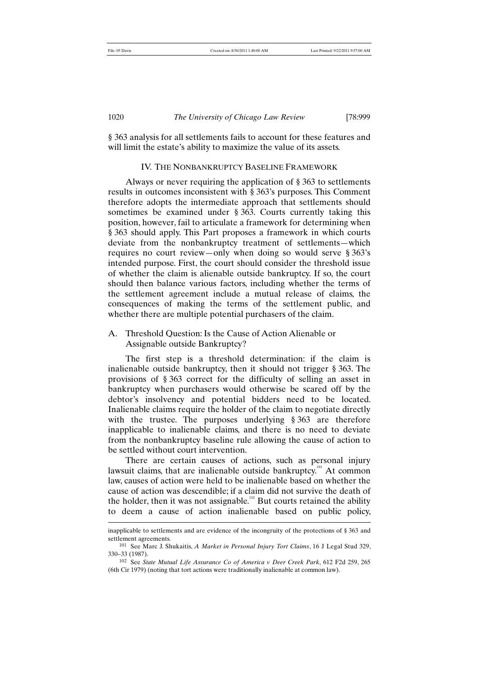# 1020 *The University of Chicago Law Review* [78:999

§ 363 analysis for all settlements fails to account for these features and will limit the estate's ability to maximize the value of its assets.

#### IV. THE NONBANKRUPTCY BASELINE FRAMEWORK

Always or never requiring the application of § 363 to settlements results in outcomes inconsistent with § 363's purposes. This Comment therefore adopts the intermediate approach that settlements should sometimes be examined under § 363. Courts currently taking this position, however, fail to articulate a framework for determining when § 363 should apply. This Part proposes a framework in which courts deviate from the nonbankruptcy treatment of settlements—which requires no court review—only when doing so would serve § 363's intended purpose. First, the court should consider the threshold issue of whether the claim is alienable outside bankruptcy. If so, the court should then balance various factors, including whether the terms of the settlement agreement include a mutual release of claims, the consequences of making the terms of the settlement public, and whether there are multiple potential purchasers of the claim.

# A. Threshold Question: Is the Cause of Action Alienable or Assignable outside Bankruptcy?

The first step is a threshold determination: if the claim is inalienable outside bankruptcy, then it should not trigger § 363. The provisions of § 363 correct for the difficulty of selling an asset in bankruptcy when purchasers would otherwise be scared off by the debtor's insolvency and potential bidders need to be located. Inalienable claims require the holder of the claim to negotiate directly with the trustee. The purposes underlying § 363 are therefore inapplicable to inalienable claims, and there is no need to deviate from the nonbankruptcy baseline rule allowing the cause of action to be settled without court intervention.

There are certain causes of actions, such as personal injury lawsuit claims, that are inalienable outside bankruptcy.<sup>101</sup> At common law, causes of action were held to be inalienable based on whether the cause of action was descendible; if a claim did not survive the death of the holder, then it was not assignable.<sup>102</sup> But courts retained the ability to deem a cause of action inalienable based on public policy,

inapplicable to settlements and are evidence of the incongruity of the protections of § 363 and settlement agreements.

<sup>101</sup> See Marc J. Shukaitis, *A Market in Personal Injury Tort Claims*, 16 J Legal Stud 329, 330–33 (1987).

<sup>102</sup> See *State Mutual Life Assurance Co of America v Deer Creek Park*, 612 F2d 259, 265 (6th Cir 1979) (noting that tort actions were traditionally inalienable at common law).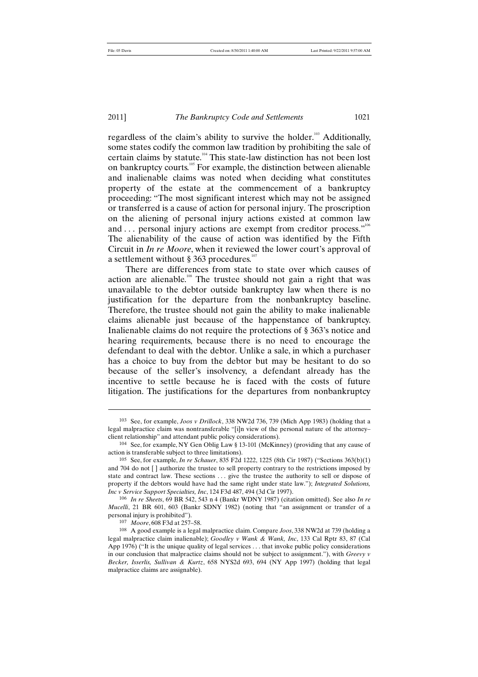## 2011] *The Bankruptcy Code and Settlements* 1021

regardless of the claim's ability to survive the holder.<sup>103</sup> Additionally, some states codify the common law tradition by prohibiting the sale of certain claims by statute.<sup>104</sup> This state-law distinction has not been lost on bankruptcy courts.<sup>105</sup> For example, the distinction between alienable and inalienable claims was noted when deciding what constitutes property of the estate at the commencement of a bankruptcy proceeding: "The most significant interest which may not be assigned or transferred is a cause of action for personal injury. The proscription on the aliening of personal injury actions existed at common law and ... personal injury actions are exempt from creditor process."<sup>106</sup> The alienability of the cause of action was identified by the Fifth Circuit in *In re Moore*, when it reviewed the lower court's approval of a settlement without § 363 procedures.<sup>10</sup>

There are differences from state to state over which causes of action are alienable.<sup>108</sup> The trustee should not gain a right that was unavailable to the debtor outside bankruptcy law when there is no justification for the departure from the nonbankruptcy baseline. Therefore, the trustee should not gain the ability to make inalienable claims alienable just because of the happenstance of bankruptcy. Inalienable claims do not require the protections of § 363's notice and hearing requirements, because there is no need to encourage the defendant to deal with the debtor. Unlike a sale, in which a purchaser has a choice to buy from the debtor but may be hesitant to do so because of the seller's insolvency, a defendant already has the incentive to settle because he is faced with the costs of future litigation. The justifications for the departures from nonbankruptcy

<sup>103</sup> See, for example, *Joos v Drillock*, 338 NW2d 736, 739 (Mich App 1983) (holding that a legal malpractice claim was nontransferable "[i]n view of the personal nature of the attorney– client relationship" and attendant public policy considerations).

<sup>104</sup> See, for example, NY Gen Oblig Law § 13-101 (McKinney) (providing that any cause of action is transferable subject to three limitations).

<sup>105</sup> See, for example, *In re Schauer*, 835 F2d 1222, 1225 (8th Cir 1987) ("Sections 363(b)(1) and 704 do not [ ] authorize the trustee to sell property contrary to the restrictions imposed by state and contract law. These sections . . . give the trustee the authority to sell or dispose of property if the debtors would have had the same right under state law."); *Integrated Solutions, Inc v Service Support Specialties, Inc*, 124 F3d 487, 494 (3d Cir 1997).

<sup>106</sup> *In re Sheets*, 69 BR 542, 543 n 4 (Bankr WDNY 1987) (citation omitted). See also *In re Mucelli*, 21 BR 601, 603 (Bankr SDNY 1982) (noting that "an assignment or transfer of a personal injury is prohibited").

<sup>107</sup> *Moore*, 608 F3d at 257–58.

<sup>108</sup> A good example is a legal malpractice claim. Compare *Joos*, 338 NW2d at 739 (holding a legal malpractice claim inalienable); *Goodley v Wank & Wank, Inc*, 133 Cal Rptr 83, 87 (Cal App 1976) ("It is the unique quality of legal services . . . that invoke public policy considerations in our conclusion that malpractice claims should not be subject to assignment."), with *Greevy v Becker, Isserlis, Sullivan & Kurtz*, 658 NYS2d 693, 694 (NY App 1997) (holding that legal malpractice claims are assignable).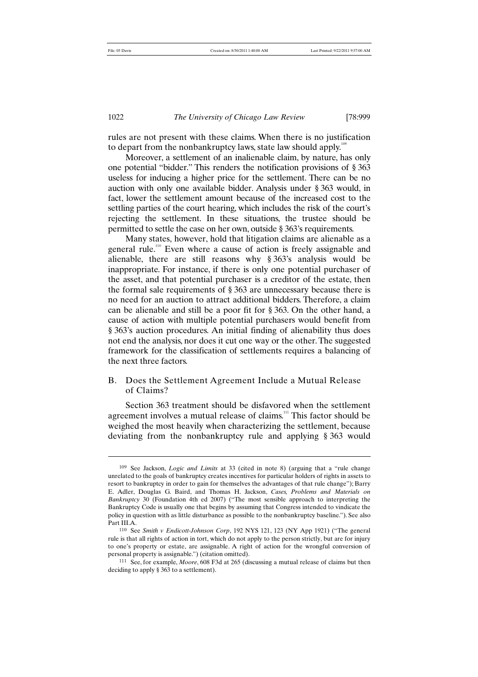#### 1022 *The University of Chicago Law Review* [78:999

rules are not present with these claims. When there is no justification to depart from the nonbankruptcy laws, state law should apply.<sup>10</sup>

Moreover, a settlement of an inalienable claim, by nature, has only one potential "bidder." This renders the notification provisions of § 363 useless for inducing a higher price for the settlement. There can be no auction with only one available bidder. Analysis under § 363 would, in fact, lower the settlement amount because of the increased cost to the settling parties of the court hearing, which includes the risk of the court's rejecting the settlement. In these situations, the trustee should be permitted to settle the case on her own, outside § 363's requirements.

Many states, however, hold that litigation claims are alienable as a general rule.<sup>110</sup> Even where a cause of action is freely assignable and alienable, there are still reasons why § 363's analysis would be inappropriate. For instance, if there is only one potential purchaser of the asset, and that potential purchaser is a creditor of the estate, then the formal sale requirements of § 363 are unnecessary because there is no need for an auction to attract additional bidders. Therefore, a claim can be alienable and still be a poor fit for § 363. On the other hand, a cause of action with multiple potential purchasers would benefit from § 363's auction procedures. An initial finding of alienability thus does not end the analysis, nor does it cut one way or the other. The suggested framework for the classification of settlements requires a balancing of the next three factors.

# B. Does the Settlement Agreement Include a Mutual Release of Claims?

Section 363 treatment should be disfavored when the settlement agreement involves a mutual release of claims.<sup>111</sup> This factor should be weighed the most heavily when characterizing the settlement, because deviating from the nonbankruptcy rule and applying § 363 would

<sup>109</sup> See Jackson, *Logic and Limits* at 33 (cited in note 8) (arguing that a "rule change unrelated to the goals of bankruptcy creates incentives for particular holders of rights in assets to resort to bankruptcy in order to gain for themselves the advantages of that rule change"); Barry E. Adler, Douglas G. Baird, and Thomas H. Jackson, *Cases, Problems and Materials on Bankruptcy* 30 (Foundation 4th ed 2007) ("The most sensible approach to interpreting the Bankruptcy Code is usually one that begins by assuming that Congress intended to vindicate the policy in question with as little disturbance as possible to the nonbankruptcy baseline."). See also Part III.A.

<sup>110</sup> See *Smith v Endicott-Johnson Corp*, 192 NYS 121, 123 (NY App 1921) ("The general rule is that all rights of action in tort, which do not apply to the person strictly, but are for injury to one's property or estate, are assignable. A right of action for the wrongful conversion of personal property is assignable.") (citation omitted).

<sup>111</sup> See, for example, *Moore*, 608 F3d at 265 (discussing a mutual release of claims but then deciding to apply § 363 to a settlement).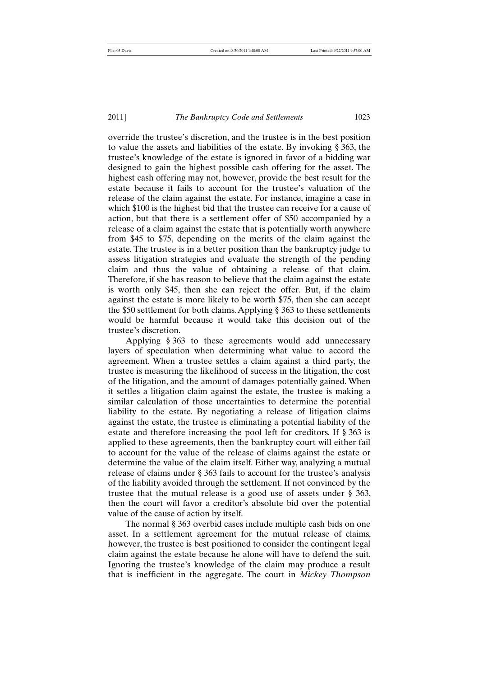override the trustee's discretion, and the trustee is in the best position to value the assets and liabilities of the estate. By invoking § 363, the trustee's knowledge of the estate is ignored in favor of a bidding war designed to gain the highest possible cash offering for the asset. The highest cash offering may not, however, provide the best result for the estate because it fails to account for the trustee's valuation of the release of the claim against the estate. For instance, imagine a case in which \$100 is the highest bid that the trustee can receive for a cause of action, but that there is a settlement offer of \$50 accompanied by a release of a claim against the estate that is potentially worth anywhere from \$45 to \$75, depending on the merits of the claim against the estate. The trustee is in a better position than the bankruptcy judge to assess litigation strategies and evaluate the strength of the pending claim and thus the value of obtaining a release of that claim. Therefore, if she has reason to believe that the claim against the estate is worth only \$45, then she can reject the offer. But, if the claim against the estate is more likely to be worth \$75, then she can accept the \$50 settlement for both claims. Applying § 363 to these settlements would be harmful because it would take this decision out of the trustee's discretion.

Applying § 363 to these agreements would add unnecessary layers of speculation when determining what value to accord the agreement. When a trustee settles a claim against a third party, the trustee is measuring the likelihood of success in the litigation, the cost of the litigation, and the amount of damages potentially gained. When it settles a litigation claim against the estate, the trustee is making a similar calculation of those uncertainties to determine the potential liability to the estate. By negotiating a release of litigation claims against the estate, the trustee is eliminating a potential liability of the estate and therefore increasing the pool left for creditors. If § 363 is applied to these agreements, then the bankruptcy court will either fail to account for the value of the release of claims against the estate or determine the value of the claim itself. Either way, analyzing a mutual release of claims under § 363 fails to account for the trustee's analysis of the liability avoided through the settlement. If not convinced by the trustee that the mutual release is a good use of assets under § 363, then the court will favor a creditor's absolute bid over the potential value of the cause of action by itself.

The normal § 363 overbid cases include multiple cash bids on one asset. In a settlement agreement for the mutual release of claims, however, the trustee is best positioned to consider the contingent legal claim against the estate because he alone will have to defend the suit. Ignoring the trustee's knowledge of the claim may produce a result that is inefficient in the aggregate. The court in *Mickey Thompson*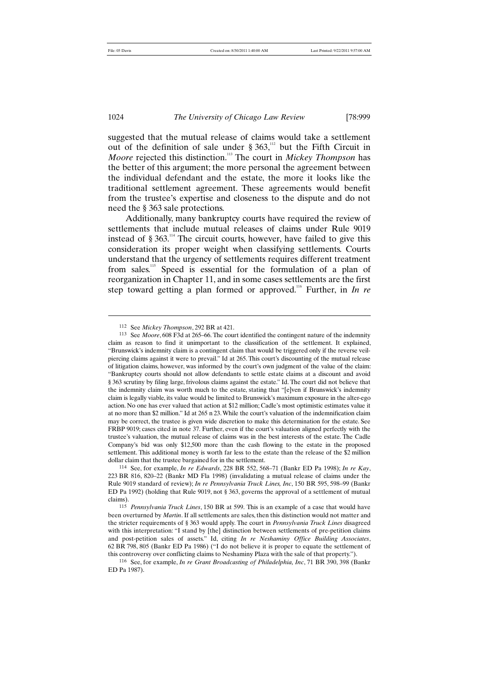j

1024 *The University of Chicago Law Review* [78:999

suggested that the mutual release of claims would take a settlement out of the definition of sale under  $\S 363$ ,<sup>112</sup> but the Fifth Circuit in *Moore* rejected this distinction.<sup>113</sup> The court in *Mickey Thompson* has the better of this argument; the more personal the agreement between the individual defendant and the estate, the more it looks like the traditional settlement agreement. These agreements would benefit from the trustee's expertise and closeness to the dispute and do not need the § 363 sale protections.

Additionally, many bankruptcy courts have required the review of settlements that include mutual releases of claims under Rule 9019 instead of § 363.<sup>114</sup> The circuit courts, however, have failed to give this consideration its proper weight when classifying settlements. Courts understand that the urgency of settlements requires different treatment from sales.<sup>115</sup> Speed is essential for the formulation of a plan of reorganization in Chapter 11, and in some cases settlements are the first step toward getting a plan formed or approved.<sup>116</sup> Further, in *In re* 

<sup>112</sup> See *Mickey Thompson*, 292 BR at 421.

<sup>113</sup> See *Moore*, 608 F3d at 265–66. The court identified the contingent nature of the indemnity claim as reason to find it unimportant to the classification of the settlement. It explained, "Brunswick's indemnity claim is a contingent claim that would be triggered only if the reverse veilpiercing claims against it were to prevail." Id at 265. This court's discounting of the mutual release of litigation claims, however, was informed by the court's own judgment of the value of the claim: "Bankruptcy courts should not allow defendants to settle estate claims at a discount and avoid § 363 scrutiny by filing large, frivolous claims against the estate." Id. The court did not believe that the indemnity claim was worth much to the estate, stating that "[e]ven if Brunswick's indemnity claim is legally viable, its value would be limited to Brunswick's maximum exposure in the alter-ego action. No one has ever valued that action at \$12 million; Cadle's most optimistic estimates value it at no more than \$2 million." Id at 265 n 23. While the court's valuation of the indemnification claim may be correct, the trustee is given wide discretion to make this determination for the estate. See FRBP 9019; cases cited in note 37. Further, even if the court's valuation aligned perfectly with the trustee's valuation, the mutual release of claims was in the best interests of the estate. The Cadle Company's bid was only \$12,500 more than the cash flowing to the estate in the proposed settlement. This additional money is worth far less to the estate than the release of the \$2 million dollar claim that the trustee bargained for in the settlement.

<sup>114</sup> See, for example, *In re Edwards*, 228 BR 552, 568–71 (Bankr ED Pa 1998); *In re Kay*, 223 BR 816, 820–22 (Bankr MD Fla 1998) (invalidating a mutual release of claims under the Rule 9019 standard of review); *In re Pennsylvania Truck Lines, Inc*, 150 BR 595, 598–99 (Bankr ED Pa 1992) (holding that Rule 9019, not § 363, governs the approval of a settlement of mutual claims).

<sup>115</sup> *Pennsylvania Truck Lines*, 150 BR at 599. This is an example of a case that would have been overturned by *Martin*. If all settlements are sales, then this distinction would not matter and the stricter requirements of § 363 would apply. The court in *Pennsylvania Truck Lines* disagreed with this interpretation: "I stand by [the] distinction between settlements of pre-petition claims and post-petition sales of assets." Id, citing *In re Neshaminy Office Building Associates*, 62 BR 798, 805 (Bankr ED Pa 1986) ("I do not believe it is proper to equate the settlement of this controversy over conflicting claims to Neshaminy Plaza with the sale of that property.").

<sup>116</sup> See, for example, *In re Grant Broadcasting of Philadelphia, Inc*, 71 BR 390, 398 (Bankr ED Pa 1987).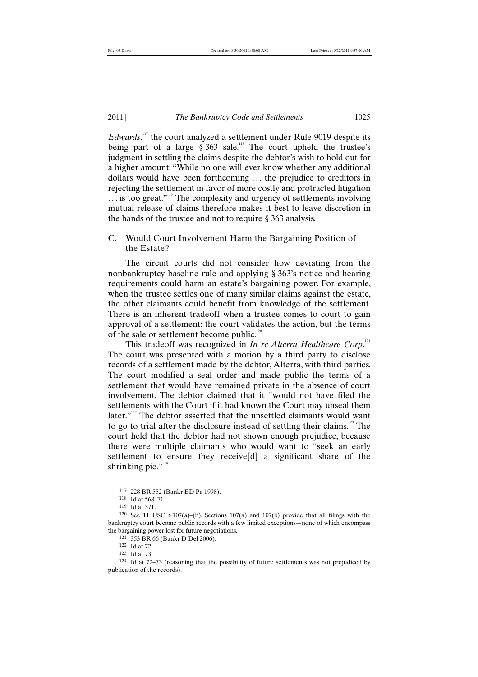*Edwards*,<sup>117</sup>, the court analyzed a settlement under Rule 9019 despite its being part of a large  $\S 363$  sale.<sup>118</sup> The court upheld the trustee's judgment in settling the claims despite the debtor's wish to hold out for a higher amount: "While no one will ever know whether any additional dollars would have been forthcoming . . . the prejudice to creditors in rejecting the settlement in favor of more costly and protracted litigation ... is too great."<sup>119</sup> The complexity and urgency of settlements involving mutual release of claims therefore makes it best to leave discretion in the hands of the trustee and not to require § 363 analysis.

# C. Would Court Involvement Harm the Bargaining Position of the Estate?

The circuit courts did not consider how deviating from the nonbankruptcy baseline rule and applying § 363's notice and hearing requirements could harm an estate's bargaining power. For example, when the trustee settles one of many similar claims against the estate, the other claimants could benefit from knowledge of the settlement. There is an inherent tradeoff when a trustee comes to court to gain approval of a settlement: the court validates the action, but the terms of the sale or settlement become public. $12$ 

This tradeoff was recognized in *In re Alterra Healthcare Corp*.<sup>121</sup> The court was presented with a motion by a third party to disclose records of a settlement made by the debtor, Alterra, with third parties. The court modified a seal order and made public the terms of a settlement that would have remained private in the absence of court involvement. The debtor claimed that it "would not have filed the settlements with the Court if it had known the Court may unseal them later."<sup>122</sup> The debtor asserted that the unsettled claimants would want to go to trial after the disclosure instead of settling their claims.<sup>123</sup> The court held that the debtor had not shown enough prejudice, because there were multiple claimants who would want to "seek an early settlement to ensure they receive[d] a significant share of the shrinking pie." $\cdot$ "

<sup>117</sup> 228 BR 552 (Bankr ED Pa 1998).

<sup>118</sup> Id at 568–71.

<sup>119</sup> Id at 571.

<sup>120</sup> See 11 USC § 107(a)–(b). Sections 107(a) and 107(b) provide that all filings with the bankruptcy court become public records with a few limited exceptions—none of which encompass the bargaining power lost for future negotiations.

<sup>121</sup> 353 BR 66 (Bankr D Del 2006).

<sup>122</sup> Id at 72.

<sup>123</sup> Id at 73.

<sup>124</sup> Id at 72–73 (reasoning that the possibility of future settlements was not prejudiced by publication of the records).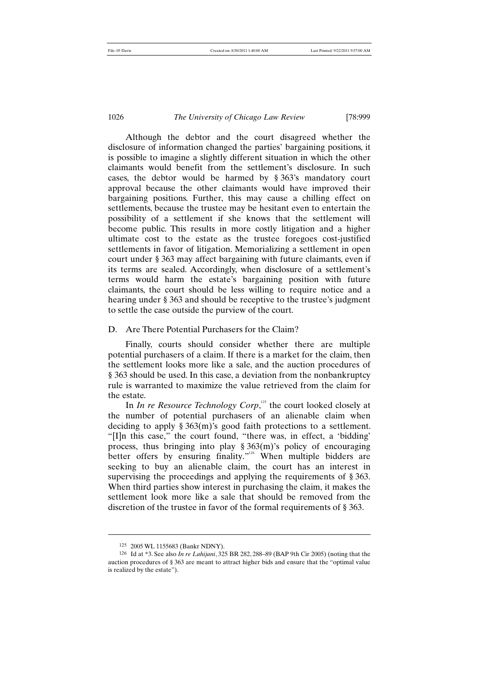Although the debtor and the court disagreed whether the disclosure of information changed the parties' bargaining positions, it is possible to imagine a slightly different situation in which the other claimants would benefit from the settlement's disclosure. In such cases, the debtor would be harmed by § 363's mandatory court approval because the other claimants would have improved their bargaining positions. Further, this may cause a chilling effect on settlements, because the trustee may be hesitant even to entertain the possibility of a settlement if she knows that the settlement will become public. This results in more costly litigation and a higher ultimate cost to the estate as the trustee foregoes cost-justified settlements in favor of litigation. Memorializing a settlement in open court under § 363 may affect bargaining with future claimants, even if its terms are sealed. Accordingly, when disclosure of a settlement's terms would harm the estate's bargaining position with future claimants, the court should be less willing to require notice and a hearing under § 363 and should be receptive to the trustee's judgment to settle the case outside the purview of the court.

# D. Are There Potential Purchasers for the Claim?

Finally, courts should consider whether there are multiple potential purchasers of a claim. If there is a market for the claim, then the settlement looks more like a sale, and the auction procedures of § 363 should be used. In this case, a deviation from the nonbankruptcy rule is warranted to maximize the value retrieved from the claim for the estate.

In *In re Resource Technology Corp*,<sup>125</sup> the court looked closely at the number of potential purchasers of an alienable claim when deciding to apply § 363(m)'s good faith protections to a settlement. "[I]n this case," the court found, "there was, in effect, a 'bidding' process, thus bringing into play  $\S 363(m)$ 's policy of encouraging better offers by ensuring finality."<sup>126</sup> When multiple bidders are seeking to buy an alienable claim, the court has an interest in supervising the proceedings and applying the requirements of § 363. When third parties show interest in purchasing the claim, it makes the settlement look more like a sale that should be removed from the discretion of the trustee in favor of the formal requirements of § 363.

<sup>125</sup> 2005 WL 1155683 (Bankr NDNY).

<sup>126</sup> Id at \*3. See also *In re Lahijani*, 325 BR 282, 288–89 (BAP 9th Cir 2005) (noting that the auction procedures of § 363 are meant to attract higher bids and ensure that the "optimal value is realized by the estate").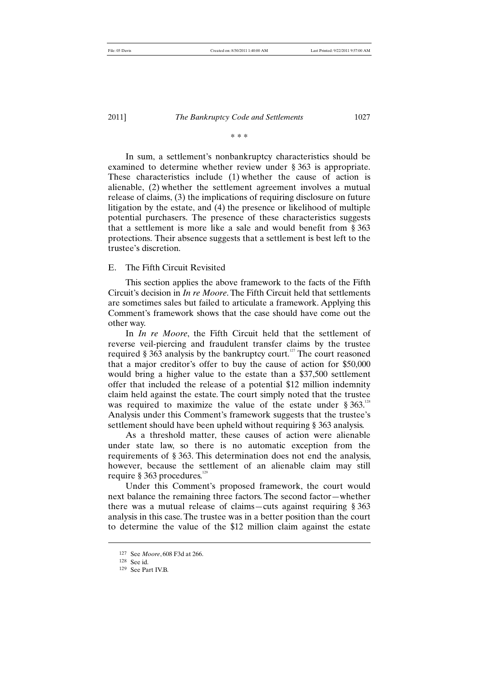# \* \* \*

In sum, a settlement's nonbankruptcy characteristics should be examined to determine whether review under § 363 is appropriate. These characteristics include (1) whether the cause of action is alienable, (2) whether the settlement agreement involves a mutual release of claims, (3) the implications of requiring disclosure on future litigation by the estate, and (4) the presence or likelihood of multiple potential purchasers. The presence of these characteristics suggests that a settlement is more like a sale and would benefit from § 363 protections. Their absence suggests that a settlement is best left to the trustee's discretion.

# E. The Fifth Circuit Revisited

This section applies the above framework to the facts of the Fifth Circuit's decision in *In re Moore*. The Fifth Circuit held that settlements are sometimes sales but failed to articulate a framework. Applying this Comment's framework shows that the case should have come out the other way.

In *In re Moore*, the Fifth Circuit held that the settlement of reverse veil-piercing and fraudulent transfer claims by the trustee required  $\S 363$  analysis by the bankruptcy court.<sup>127</sup> The court reasoned that a major creditor's offer to buy the cause of action for \$50,000 would bring a higher value to the estate than a \$37,500 settlement offer that included the release of a potential \$12 million indemnity claim held against the estate. The court simply noted that the trustee was required to maximize the value of the estate under  $\S 363$ .<sup>128</sup> Analysis under this Comment's framework suggests that the trustee's settlement should have been upheld without requiring § 363 analysis.

As a threshold matter, these causes of action were alienable under state law, so there is no automatic exception from the requirements of § 363. This determination does not end the analysis, however, because the settlement of an alienable claim may still require  $§$  363 procedures.<sup>12</sup>

Under this Comment's proposed framework, the court would next balance the remaining three factors. The second factor—whether there was a mutual release of claims—cuts against requiring § 363 analysis in this case. The trustee was in a better position than the court to determine the value of the \$12 million claim against the estate

<sup>127</sup> See *Moore*, 608 F3d at 266.

<sup>128</sup> See id.

<sup>129</sup> See Part IV.B.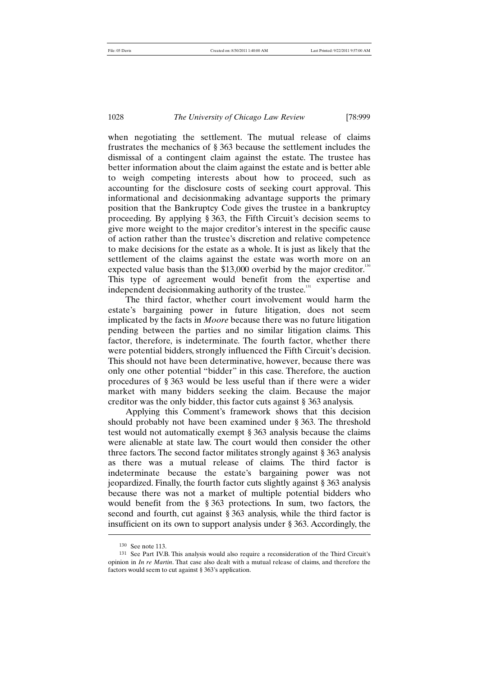when negotiating the settlement. The mutual release of claims frustrates the mechanics of § 363 because the settlement includes the dismissal of a contingent claim against the estate. The trustee has better information about the claim against the estate and is better able to weigh competing interests about how to proceed, such as accounting for the disclosure costs of seeking court approval. This informational and decisionmaking advantage supports the primary position that the Bankruptcy Code gives the trustee in a bankruptcy proceeding. By applying § 363, the Fifth Circuit's decision seems to give more weight to the major creditor's interest in the specific cause of action rather than the trustee's discretion and relative competence to make decisions for the estate as a whole. It is just as likely that the settlement of the claims against the estate was worth more on an expected value basis than the  $$13,000$  overbid by the major creditor.<sup>130</sup> This type of agreement would benefit from the expertise and independent decisionmaking authority of the trustee.<sup>131</sup>

The third factor, whether court involvement would harm the estate's bargaining power in future litigation, does not seem implicated by the facts in *Moore* because there was no future litigation pending between the parties and no similar litigation claims. This factor, therefore, is indeterminate. The fourth factor, whether there were potential bidders, strongly influenced the Fifth Circuit's decision. This should not have been determinative, however, because there was only one other potential "bidder" in this case. Therefore, the auction procedures of § 363 would be less useful than if there were a wider market with many bidders seeking the claim. Because the major creditor was the only bidder, this factor cuts against § 363 analysis.

Applying this Comment's framework shows that this decision should probably not have been examined under § 363. The threshold test would not automatically exempt § 363 analysis because the claims were alienable at state law. The court would then consider the other three factors. The second factor militates strongly against § 363 analysis as there was a mutual release of claims. The third factor is indeterminate because the estate's bargaining power was not jeopardized. Finally, the fourth factor cuts slightly against § 363 analysis because there was not a market of multiple potential bidders who would benefit from the § 363 protections. In sum, two factors, the second and fourth, cut against § 363 analysis, while the third factor is insufficient on its own to support analysis under § 363. Accordingly, the

<sup>130</sup> See note 113.

<sup>131</sup> See Part IV.B. This analysis would also require a reconsideration of the Third Circuit's opinion in *In re Martin*. That case also dealt with a mutual release of claims, and therefore the factors would seem to cut against § 363's application.